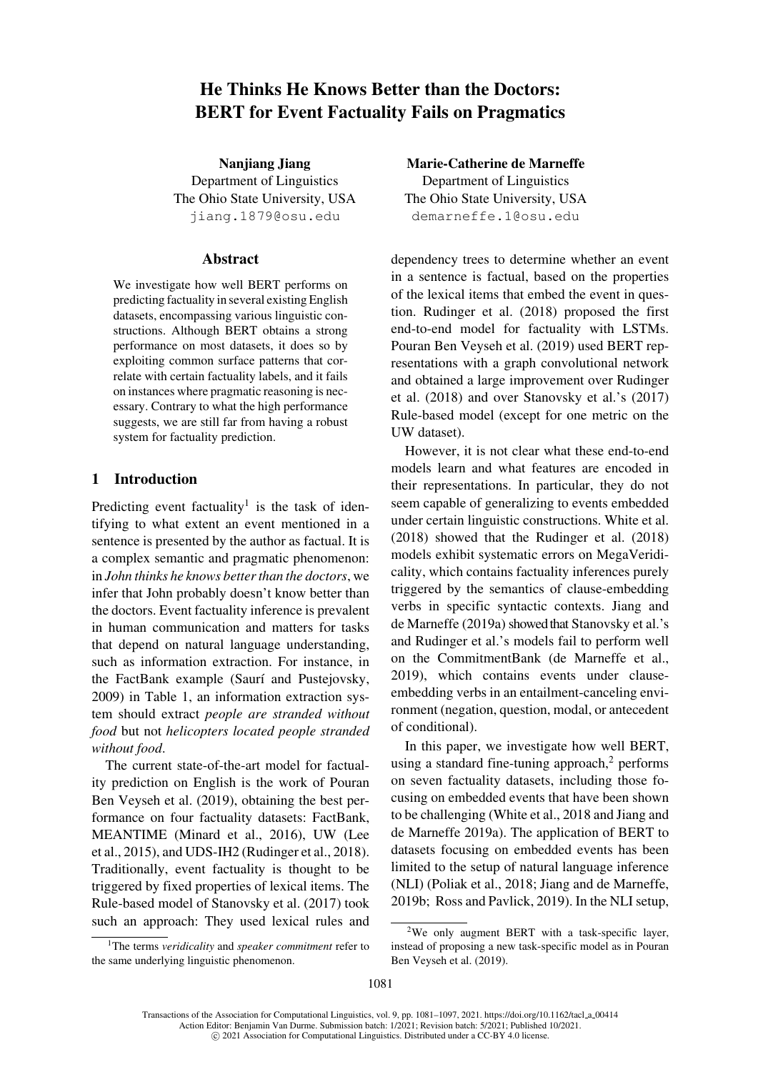# He Thinks He Knows Better than the Doctors: BERT for Event Factuality Fails on Pragmatics

Nanjiang Jiang Department of Linguistics The Ohio State University, USA jiang.1879@osu.edu

## Abstract

We investigat[e](mailto:jiang.1879@osu.edu) [how](mailto:jiang.1879@osu.edu) [well](mailto:jiang.1879@osu.edu) [BERT](mailto:jiang.1879@osu.edu) [performs](mailto:jiang.1879@osu.edu) [o](mailto:jiang.1879@osu.edu)n predicting factuality in several existing English datasets, encompassing various linguistic constructions. Although BERT obtains a strong performance on most datasets, it does so by exploiting common surface patterns that correlate with certain factuality labels, and it fails on instances where pragmatic reasoning is necessary. Contrary to what the high performance suggests, we are still far from having a robust system for factuality prediction.

## 1 Introduction

Predicting event factuality<sup>1</sup> is the task of identifying to what extent an event mentioned in a sentence is presented by the author as factual. It is a complex semantic and pragmatic phenomenon: in *John thinks he knows bet[te](#page-0-0)r than the doctors*, we infer that John probably doesn't know better than the doctors. Event factuality inference is prevalent in human communication and matters for tasks that depend on natural language understanding, such as information extraction. For instance, in the FactBank example (Saurí and Pustejovsky, 2009) in Table 1, an information extraction system should extract *people are stranded without food* but not *helicopters [located people stranded](#page-15-0) [witho](#page-15-0)ut food*.

The c[urrent](#page-1-0) [sta](#page-1-0)te-of-the-art model for factuality prediction on English is the work of Pouran Ben Veyseh et al. (2019), obtaining the best performance on four factuality datasets: FactBank, MEANTIME (Minard et al., 2016), UW (Lee et al., 2015), and [UDS-IH2](#page-15-1) [\(Rudinger](#page-15-1) [et](#page-15-1) [al.,](#page-15-1) 2018). Traditionally, eve[nt](#page-15-1) [fac](#page-15-1)tuality is thought to be triggered by fixed properties of lexical items. The Rule-based mo[del](#page-14-0) [of](#page-14-0) [Stanovsky](#page-14-0) [et](#page-14-0) [al.](#page-14-0) (2017) took such [an](#page-14-1) [ap](#page-14-1)proach: They [used](#page-15-2) [lexical](#page-15-2) [ru](#page-15-2)l[es](#page-15-2) [an](#page-15-2)d

Marie-Catherine de Marneffe Department of Linguistics The Ohio State University, USA demarneffe.1@osu.edu

dependency trees to determine whether an event in [a sentence is factual, based on](mailto:demarneffe.1@osu.edu) the properties of the lexical items that embed the event in question. Rudinger et al. (2018) proposed the first end-to-end model for factuality with LSTMs. Pouran Ben Veyseh et al. (2019) used BERT representations with a graph convolutional network and o[btained](#page-15-2) [a](#page-15-2) [large](#page-15-2) [improve](#page-15-2)ment over Rudinger [et al. \(2018\) and over Stanovsk](#page-15-1)y et al.'s (2017) Rule-based model (except for one metric on the UW dataset).

H[owever,](#page-15-2) [it](#page-15-2) [is](#page-15-2) [not](#page-15-2) [cl](#page-15-2)[ear what these en](#page-15-3)d-[to-end](#page-15-3) models learn and what features are encoded in their representations. In particular, they do not seem capable of generalizing to events embedded under certain linguistic constructions. White et al. (2018) showed that the Rudinger et al. (2018) models exhibit systematic errors on MegaVeridicality, which contains factuality inferences purely triggered by the semantics of clause[-embedding](#page-16-0) [verbs](#page-16-0) in specific syntac[tic](#page-15-2) [contexts.](#page-15-2) [Jia](#page-15-2)n[g](#page-15-2) [and](#page-15-2) de Marneffe (2019a) showed that Stanovsky et al.'s and Rudinger et al.'s models fail to perform well on the CommitmentBank (de Marneffe et al., 2019), whic[h con](#page-14-2)tains even[ts under clause](#page-15-3)em[bedding verbs in](#page-15-2) an entailment-canceling environment (negation, question, [modal, or antecedent](#page-14-3) [of co](#page-14-3)nditional).

In this paper, we investigate how well BERT, using a standard fine-tuning approach, $2$  performs on seven factuality datasets, including those focusing on embedded events that have been shown to be challenging (White et al., 2018 and Jiang and de Marneffe 2019a). The application [of](#page-0-1) BERT to datasets focusing on embedded events has been limited to the setup of natural language inference (NLI) (Polia[k](#page-14-2) [et](#page-14-2) [a](#page-14-2)[l.,](#page-16-0) [2018;](#page-16-0) [Jiang](#page-16-0) [and](#page-16-0) [de](#page-14-2) [M](#page-14-2)arneffe, 2019b; Ross [and](#page-14-2) [Pa](#page-14-2)vlick, 2019). In the NLI setup,

<span id="page-0-0"></span><sup>1</sup>The terms *veridicality* and *speaker commitment* refer to the same underlying ling[uistic phenomenon.](#page-15-3)

<span id="page-0-1"></span><sup>2</sup>We only augment BERT with a task-specific layer, instead [of proposing a new task](#page-15-4)[-specific model as in Pouran](#page-14-4) [Ben Vey](#page-14-4)[seh et al. \(2019\).](#page-15-5)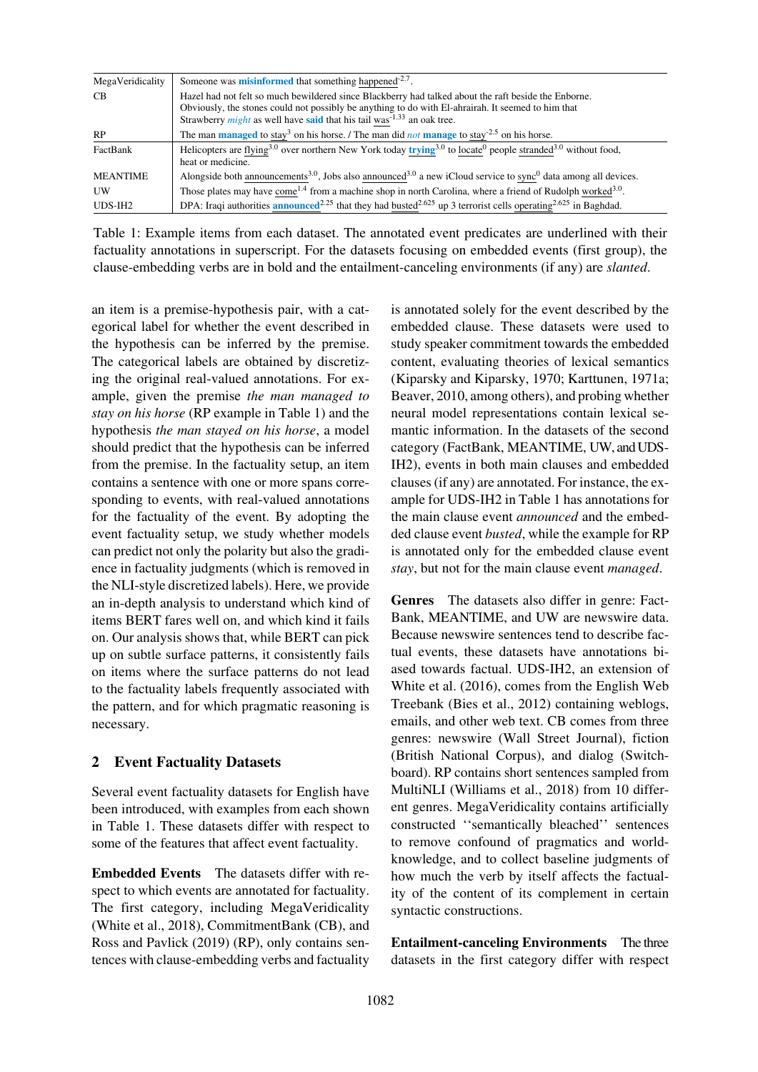| MegaVeridicality | Someone was <b>misinformed</b> that something happened <sup>-2.7</sup> .                                                                                     |
|------------------|--------------------------------------------------------------------------------------------------------------------------------------------------------------|
| <b>CB</b>        | Hazel had not felt so much bewildered since Blackberry had talked about the raft beside the Enborne.                                                         |
|                  | Obviously, the stones could not possibly be anything to do with El-ahrairah. It seemed to him that                                                           |
|                  | Strawberry <i>might</i> as well have <b>said</b> that his tail was <sup>-1.33</sup> an oak tree.                                                             |
| <b>RP</b>        | The man <b>managed</b> to stay <sup>3</sup> on his horse. / The man did <i>not</i> <b>manage</b> to stay <sup>-2.5</sup> on his horse.                       |
| FactBank         | Helicopters are flying <sup>3.0</sup> over northern New York today trying <sup>3.0</sup> to locate <sup>0</sup> people stranded <sup>3.0</sup> without food, |
|                  | heat or medicine.                                                                                                                                            |
| MEANTIME         | Alongside both announcements <sup>3.0</sup> , Jobs also announced <sup>3.0</sup> a new iCloud service to sync <sup>0</sup> data among all devices.           |
| UW               | Those plates may have come <sup>1.4</sup> from a machine shop in north Carolina, where a friend of Rudolph worked <sup>3.0</sup> .                           |
| UDS-IH2          | DPA: Iraqi authorities announced <sup>2.25</sup> that they had busted <sup>2.625</sup> up 3 terrorist cells operating <sup>2.625</sup> in Baghdad.           |

Table 1: Example items from each dataset. The annotated event predicates are underlined with their factuality annotations in superscript. For the datasets focusing on embedded events (first group), the clause-embedding verbs are in bold and the entailment-canceling environments (if any) are *slanted*.

<span id="page-1-0"></span>an item is a premise-hypothesis pair, with a categorical label for whether the event described in the hypothesis can be inferred by the premise. The categorical labels are obtained by discretizing the original real-valued annotations. For example, given the premise *the man managed to stay on his horse* (RP example in Table 1) and the hypothesis *the man stayed on his horse*, a model should predict that the hypothesis can be inferred from the premise. In the factuality setup, an item contains a sentence with one or [more](#page-1-0) [span](#page-1-0)s corresponding to events, with real-valued annotations for the factuality of the event. By adopting the event factuality setup, we study whether models can predict not only the polarity but also the gradience in factuality judgments (which is removed in the NLI-style discretized labels). Here, we provide an in-depth analysis to understand which kind of items BERT fares well on, and which kind it fails on. Our analysis shows that, while BERT can pick up on subtle surface patterns, it consistently fails on items where the surface patterns do not lead to the factuality labels frequently associated with the pattern, and for which pragmatic reasoning is necessary.

## 2 Event Factuality Datasets

Several event factuality datasets for English have been introduced, with examples from each shown in Table 1. These datasets differ with respect to some of the features that affect event factuality.

Embedded Events The datasets differ with resp[ect to wh](#page-1-0)ich events are annotated for factuality. The first category, including MegaVeridicality (White et al., 2018), CommitmentBank (CB), and Ross and Pavlick (2019) (RP), only contains sentences with clause-embedding verbs and factuality

is annotated solely for the event described by the embedded clause. These datasets were used to study speaker commitment towards the embedded content, evaluating theories of lexical semantics (Kiparsky and Kiparsky, 1970; Karttunen, 1971a; Beaver, 2010, among others), and probing whether neural model representations contain lexical se[mantic information. In the dat](#page-14-5)[asets of the second](#page-14-6) category (FactBank, MEANTIME, UW, and UDS-[IH2\),](#page-13-0) [events](#page-13-0) in both main clauses and embedded clauses (if any) are annotated. For instance, the example for UDS-IH2 in Table 1 has annotations for the main clause event *announced* and the embedded clause event *busted*, while the example for RP is annotated only for the embedded clause event *stay*, but not for the m[ain](#page-1-0) [claus](#page-1-0)e event *managed*.

Genres The datasets also differ in genre: Fact-Bank, MEANTIME, and UW are newswire data. Because newswire sentences tend to describe factual events, these datasets have annotations biased towards factual. UDS-IH2, an extension of White et al. (2016), comes from the English Web Treebank (Bies et al., 2012) containing weblogs, emails, and other web text. CB comes from three genres: newswire (Wall Street Journal), fiction [\(British](#page-16-1) [Na](#page-16-1)t[ional](#page-16-1) Corpus), and dialog (Switchboard). RP [contains](#page-13-1) [short](#page-13-1) [se](#page-13-1)ntences sampled from MultiNLI (Williams et al., 2018) from 10 different genres. MegaVeridicality contains artificially constructed ''semantically bleached'' sentences to remove confound of pragmatics and worldknowledge[,](#page-16-2) [and](#page-16-2) [to](#page-16-2) [collect](#page-16-2) [baseli](#page-16-2)ne judgments of how much the verb by itself affects the factuality of the content of its complement in certain syntactic constructions.

Entailment-canceling Environments The three datasets in the first category differ with respect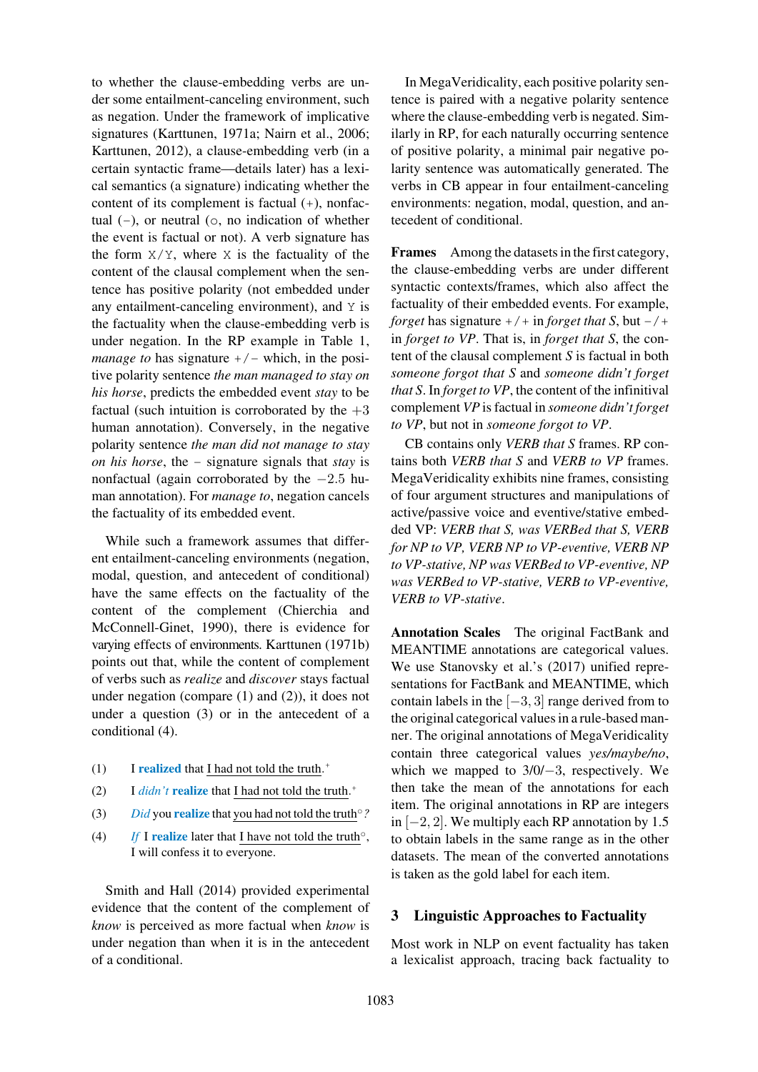to whether the clause-embedding verbs are under some entailment-canceling environment, such as negation. Under the framework of implicative signatures (Karttunen, 1971a; Nairn et al., 2006; Karttunen, 2012), a clause-embedding verb (in a certain syntactic frame—details later) has a lexical semantics (a signature) ind[icating whet](#page-14-7)her the [content of](#page-14-8) [its](#page-14-6) [complement](#page-14-6) [is](#page-14-6) factual (+), n[onfac](#page-14-7)tual  $(-)$ , o[r](#page-14-8) [neut](#page-14-8)ral  $(0, no)$  indication of whether the event is factual or not). A verb signature has the form  $X/Y$ , where X is the factuality of the content of the clausal complement when the sentence has positive polarity (not embedded under any entailment-canceling environment), and Y is the factuality when the clause-embedding verb is under negation. In the RP example in Table 1, *manage to* has signature  $+/-$  which, in the positive polarity sentence *the man managed to stay on his horse*, predicts the embedded event *stay* to be factual (such intuition is corroborated b[y](#page-1-0) [the](#page-1-0)  $+3$ human annotation). Conversely, in the negative polarity sentence *the man did not manage to stay on his horse*, the - signature signals that *stay* is nonfactual (again corroborated by the −2.5 human annotation). For *manage to*, negation cancels the factuality of its embedded event.

While such a framework assumes that different entailment-canceling environments (negation, modal, question, and antecedent of conditional) have the same effects on the factuality of the content of the complement (Chierchia and McConnell-Ginet, 1990), there is evidence for varying effects of environments. Karttunen (1971b) points out that, while the content of complement of verbs such as *realize* and *[discov](#page-14-9)er* stays factual under negation (co[mpare](#page-14-9) (1) a[nd \(2\)\), it does no](#page-14-10)t under a question (3) or in the antecedent of a conditional (4).

- (1) I realized th[at](#page-2-2) I had [not](#page-2-0) told [the](#page-2-1) truth.<sup>+</sup>
- <span id="page-2-0"></span>(2) I  $\frac{d}{d}$  **I**  $\frac{d}{d}$  **realize** that I had not told the truth.<sup>+</sup>
- (3) *Did* you **realize** that you had not told the truth<sup>o</sup>?
- <span id="page-2-1"></span>(4) *If* I realize later that I have not told the truth<sup>o</sup>, I will confess it to everyone.

<span id="page-2-3"></span><span id="page-2-2"></span>Smith and Hall (2014) provided experimental evidence that the content of the complement of *know* is perceived as more factual when *know* is [under](#page-15-6) [negation](#page-15-6) [than whe](#page-15-6)n it is in the antecedent of a conditional.

In MegaVeridicality, each positive polarity sentence is paired with a negative polarity sentence where the clause-embedding verb is negated. Similarly in RP, for each naturally occurring sentence of positive polarity, a minimal pair negative polarity sentence was automatically generated. The verbs in CB appear in four entailment-canceling environments: negation, modal, question, and antecedent of conditional.

Frames Among the datasets in the first category, the clause-embedding verbs are under different syntactic contexts/frames, which also affect the factuality of their embedded events. For example, *forget* has signature  $+/-$  in *forget that* S, but  $-/$ in *forget to VP*. That is, in *forget that S*, the content of the clausal complement *S* is factual in both *someone forgot that S* and *someone didn't forget that S*. In *forget to VP*, the content of the infinitival complement *VP* is factual in *someone didn't forget to VP*, but not in *someone forgot to VP*.

CB contains only *VERB that S* frames. RP contains both *VERB that S* and *VERB to VP* frames. MegaVeridicality exhibits nine frames, consisting of four argument structures and manipulations of active/passive voice and eventive/stative embedded VP: *VERB that S, was VERBed that S, VERB for NP to VP, VERB NP to VP-eventive, VERB NP to VP-stative, NP was VERBed to VP-eventive, NP was VERBed to VP-stative, VERB to VP-eventive, VERB to VP-stative*.

Annotation Scales The original FactBank and MEANTIME annotations are categorical values. We use Stanovsky et al.'s (2017) unified representations for FactBank and MEANTIME, which contain labels in the  $[-3, 3]$  range derived from to the original categorical values in a rule-based manner. The [original](#page-15-3) [annotati](#page-15-3)on[s](#page-15-3) [of](#page-15-3) [M](#page-15-3)egaVeridicality contain three categorical values *yes/maybe/no*, which we mapped to 3/0/−3, respectively. We then take the mean of the annotations for each item. The original annotations in RP are integers in  $[-2, 2]$ . We multiply each RP annotation by 1.5 to obtain labels in the same range as in the other datasets. The mean of the converted annotations is taken as the gold label for each item.

## 3 Linguistic Approaches to Factuality

Most work in NLP on event factuality has taken a lexicalist approach, tracing back factuality to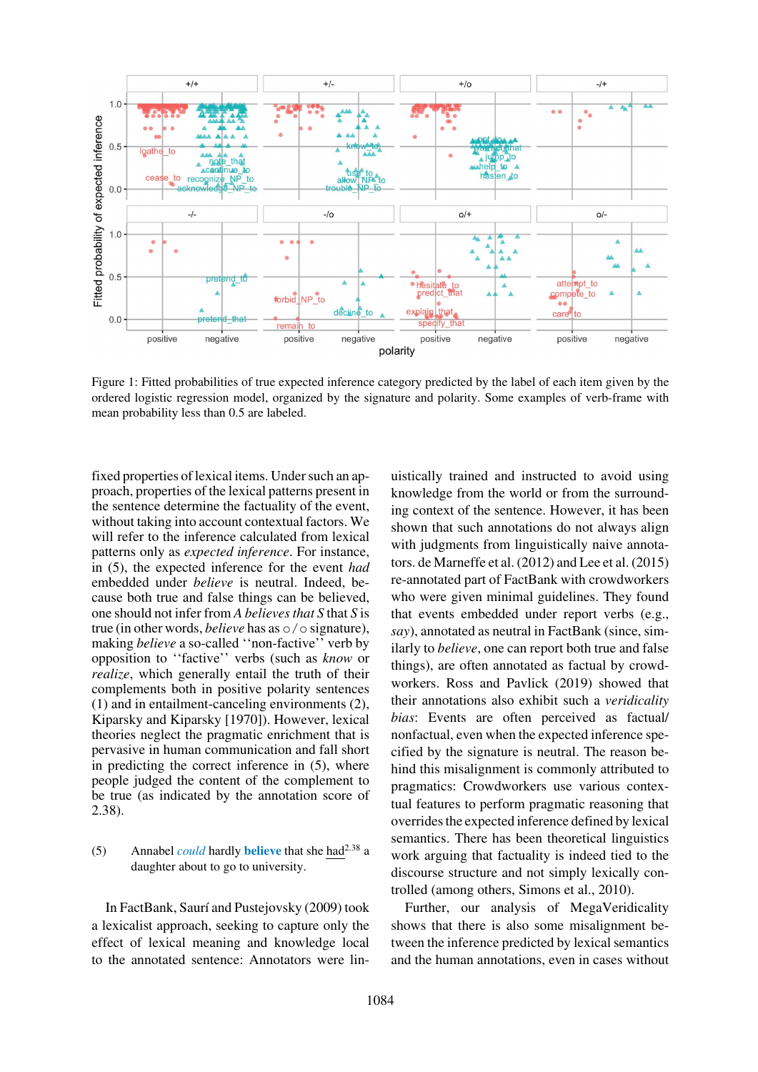

Figure 1: Fitted probabilities of true expected inference category predicted by the label of each item given by the ordered logistic regression model, organized by the signature and polarity. Some examples of verb-frame with mean probability less than 0.5 are labeled.

<span id="page-3-0"></span>fixed properties of lexical items. Under such an approach, properties of the lexical patterns present in the sentence determine the factuality of the event, without taking into account contextual factors. We will refer to the inference calculated from lexical patterns only as *expected inference*. For instance, in (5), the expected inference for the event *had* embedded under *believe* is neutral. Indeed, because both true and false things can be believed, one should not infer from *A believes that S* that *S* is true (in other words, *believe* has as o/o signature), making *believe* a so-called "non-factive" verb by opposition to ''factive'' verbs (such as *know* or *realize*, which generally entail the truth of their complements both in positive polarity sentences (1) and in entailment-canceling environments (2), Kiparsky and Kiparsky [1970]). However, lexical theories neglect the pragmatic enrichment that is pervasive in human communication and fall short [in p](#page-2-0)redicting the correct inference in (5), w[here](#page-2-1) [people judged the content of](#page-14-5) the complement to be true (as indicated by the annotation score of 2.38).

### (5) Annabel *could* hardly **believe** that she had<sup>2.38</sup> a daughter about to go to university.

In FactBank, Saurí and Pustejovsky (2009) took a lexicalist approach, seeking to capture only the effect of lexical meaning and knowledge local to the annotat[ed sentence: Annotators wer](#page-15-0)e lin-

uistically trained and instructed to avoid using knowledge from the world or from the surrounding context of the sentence. However, it has been shown that such annotations do not always align with judgments from linguistically naive annotators. de Marneffe et al. (2012) and Lee et al. (2015) re-annotated part of FactBank with crowdworkers who were given minimal guidelines. They found that events embedded under report verbs (e.g., *say*)[,](#page-14-11) [annotated](#page-14-11) [as](#page-14-11) [neutral](#page-14-11) [in](#page-14-11) [F](#page-14-11)act[Bank](#page-14-1) [\(since,](#page-14-1) [sim](#page-14-1)ilarly to *believe*, one can report both true and false things), are often annotated as factual by crowdworkers. Ross and Pavlick (2019) showed that their annotations also exhibit such a *veridicality bias*: Events are often perceived as factual/ nonfactual, even when the expected inference specified by [the](#page-15-5) [signature](#page-15-5) [is](#page-15-5) [ne](#page-15-5)u[tral.](#page-15-5) [T](#page-15-5)he reason behind this misalignment is commonly attributed to pragmatics: Crowdworkers use various contextual features to perform pragmatic reasoning that overrides the expected inference defined by lexical semantics. There has been theoretical linguistics work arguing that factuality is indeed tied to the discourse structure and not simply lexically controlled (among others, Simons et al., 2010).

Further, our analysis of MegaVeridicality shows that there is also some misalignment between the inference pr[edicted by lexical sem](#page-15-7)antics and the human annotations, even in cases without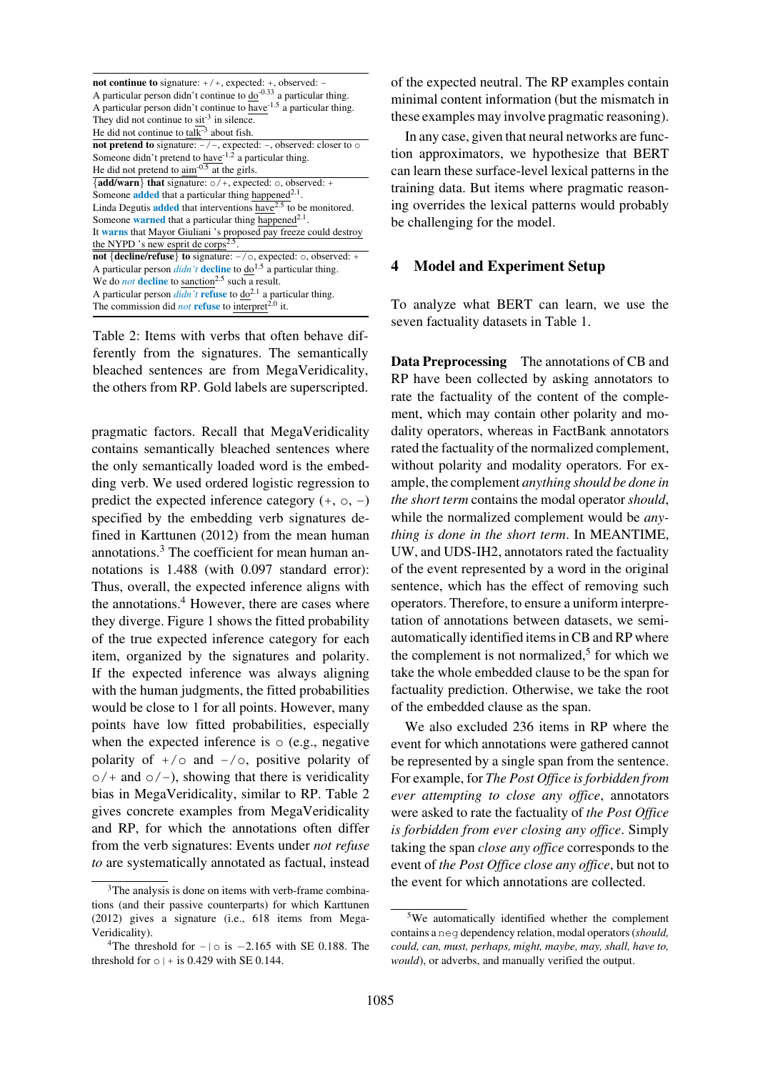| <b>not continue to</b> signature: $+/+$ , expected: $+$ , observed: $-$              |
|--------------------------------------------------------------------------------------|
| A particular person didn't continue to $do^{-0.33}$ a particular thing.              |
| A particular person didn't continue to have <sup>1.5</sup> a particular thing.       |
| They did not continue to $\sin^{-3}$ in silence.                                     |
| He did not continue to tal $\overline{k}^3$ about fish.                              |
| <b>not pretend to</b> signature: $-/-$ , expected: $-$ , observed: closer to $\circ$ |
| Someone didn't pretend to have $1.2$ a particular thing.                             |
| He did not pretend to $\text{aim}^{-0.5}$ at the girls.                              |
| {add/warn} that signature: $\circ$ /+, expected: $\circ$ , observed: +               |
| Someone <b>added</b> that a particular thing happened <sup>2.1</sup> .               |
| Linda Degutis <b>added</b> that interventions have <sup>2.5</sup> to be monitored.   |
| Someone <b>warned</b> that a particular thing happened <sup>2.1</sup> .              |
| It warns that Mayor Giuliani 's proposed pay freeze could destroy                    |
| the NYPD 's new esprit de corps <sup>2.5</sup> .                                     |
| not {decline/refuse} to signature: -/o, expected: o, observed: +                     |
| A particular person $d/dn't$ decline to $d\sigma^{1.5}$ a particular thing.          |
| We do <i>not</i> decline to sanction <sup>2.5</sup> such a result.                   |
| A particular person <i>didn't</i> refuse to $do^{2.1}$ a particular thing.           |
| The commission did <i>not</i> refuse to interpret <sup>2.0</sup> it.                 |

Table 2: Items with verbs that often behave differently from the signatures. The semantically bleached sentences are from MegaVeridicality, the others from RP. Gold labels are superscripted.

<span id="page-4-2"></span>pragmatic factors. Recall that MegaVeridicality contains semantically bleached sentences where the only semantically loaded word is the embedding verb. We used ordered logistic regression to predict the expected inference category  $(+, \circ, -)$ specified by the embedding verb signatures defined in Karttunen (2012) from the mean human annotations.3 The coefficient for mean human annotations is 1.488 (with 0.097 standard error): Thus, overall, the e[xpecte](#page-14-8)d inference aligns with the annotations.<sup>4</sup> However, there are cases where they diverg[e.](#page-4-0) Figure 1 shows the fitted probability of the true expected inference category for each item, organized by the signatures and polarity. If the expecte[d](#page-4-1) inference was always aligning with the hum[an](#page-3-0) [judgm](#page-3-0)ents, the fitted probabilities would be close to 1 for all points. However, many points have low fitted probabilities, especially when the expected inference is  $\circ$  (e.g., negative polarity of  $+/o$  and  $-/o$ , positive polarity of  $o/+$  and  $o/-$ ), showing that there is veridicality bias in MegaVeridicality, similar to RP. Table 2 gives concrete examples from MegaVeridicality and RP, for which the annotations often differ from the verb signatures: Events under *not refuse to* are systematically annotated as factual[,](#page-4-2) [instead](#page-4-2) of the expected neutral. The RP examples contain minimal content information (but the mismatch in these examples may involve pragmatic reasoning).

In any case, given that neural networks are function approximators, we hypothesize that BERT can learn these surface-level lexical patterns in the training data. But items where pragmatic reasoning overrides the lexical patterns would probably be challenging for the model.

## 4 Model and Experiment Setup

To analyze what BERT can learn, we use the seven factuality datasets in Table 1.

Data Preprocessing The annotations of CB and RP have been collected b[y asking](#page-1-0) annotators to rate the factuality of the content of the complement, which may contain other polarity and modality operators, whereas in FactBank annotators rated the factuality of the normalized complement, without polarity and modality operators. For example, the complement *anything should be done in the short term* contains the modal operator *should*, while the normalized complement would be *anything is done in the short term*. In MEANTIME, UW, and UDS-IH2, annotators rated the factuality of the event represented by a word in the original sentence, which has the effect of removing such operators. Therefore, to ensure a uniform interpretation of annotations between datasets, we semiautomatically identified items in CB and RP where the complement is not normalized,<sup>5</sup> for which we take the whole embedded clause to be the span for factuality prediction. Otherwise, we take the root of the embedded clause as the spa[n.](#page-4-3)

We also excluded 236 items in RP where the event for which annotations were gathered cannot be represented by a single span from the sentence. For example, for *The Post Office is forbidden from ever attempting to close any office*, annotators were asked to rate the factuality of *the Post Office is forbidden from ever closing any office*. Simply taking the span *close any office* corresponds to the event of *the Post Office close any office*, but not to the event for which annotations are collected.

 $3$ The analysis is done on items with verb-frame combinations (and their passive counterparts) for which Karttunen (2012) gives a signature (i.e., 618 items from Mega-Veridicality).

<span id="page-4-1"></span><span id="page-4-0"></span><sup>&</sup>lt;sup>4</sup>The threshold for  $-| \circ is -2.165$  with SE 0.188. The threshold for  $\circ$  | + is 0.429 with SE 0.144.

<span id="page-4-3"></span><sup>&</sup>lt;sup>5</sup>We automatically identified whether the complement contains a neg dependency relation, modal operators (*should, could, can, must, perhaps, might, maybe, may, shall, have to, would*), or adverbs, and manually verified the output.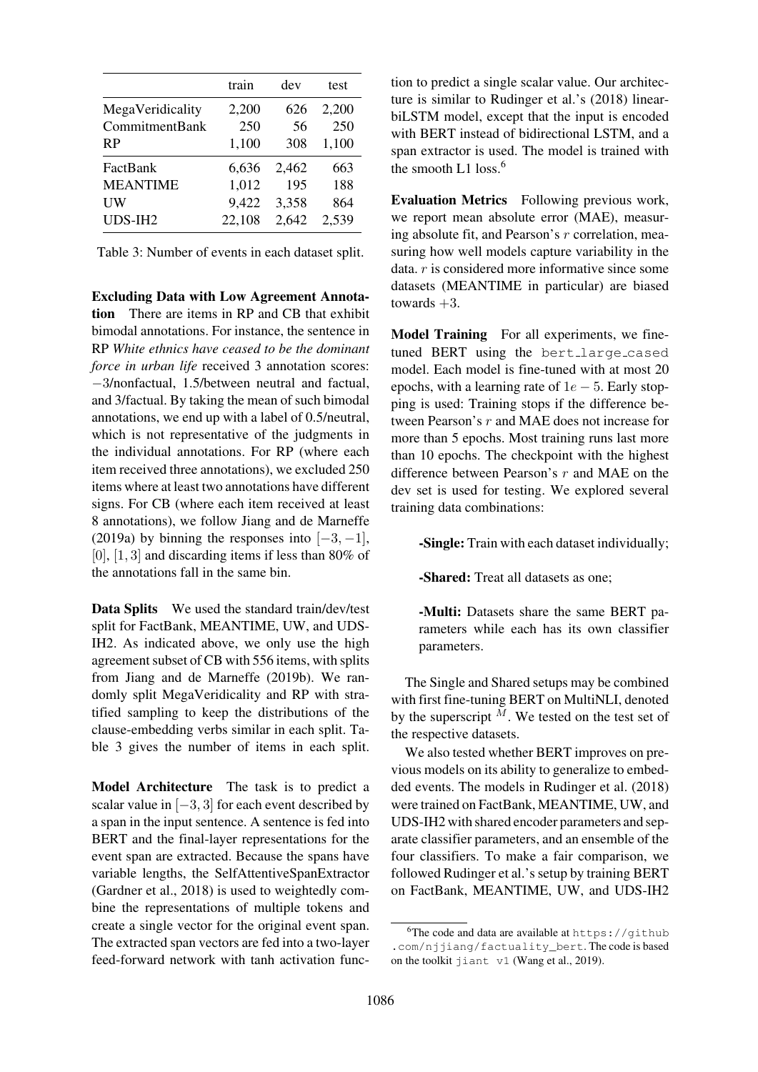|                     | train  | dev   | test  |
|---------------------|--------|-------|-------|
| MegaVeridicality    | 2,200  | 626   | 2,200 |
| CommitmentBank      | 250    | 56    | 250   |
| <b>RP</b>           | 1,100  | 308   | 1,100 |
| FactBank            | 6,636  | 2,462 | 663   |
| <b>MEANTIME</b>     | 1,012  | 195   | 188   |
| UW                  | 9,422  | 3,358 | 864   |
| UDS-IH <sub>2</sub> | 22,108 | 2,642 | 2,539 |

Table 3: Number of events in each dataset split.

<span id="page-5-0"></span>Excluding Data with Low Agreement Annotation There are items in RP and CB that exhibit bimodal annotations. For instance, the sentence in RP *White ethnics have ceased to be the dominant force in urban life* received 3 annotation scores: −3/nonfactual, 1.5/between neutral and factual, and 3/factual. By taking the mean of such bimodal annotations, we end up with a label of 0.5/neutral, which is not representative of the judgments in the individual annotations. For RP (where each item received three annotations), we excluded 250 items where at least two annotations have different signs. For CB (where each item received at least 8 annotations), we follow Jiang and de Marneffe (2019a) by binning the responses into  $[-3, -1]$ ,  $[0]$ ,  $[1, 3]$  and discarding items if less than 80% of the annotations fall in the [same bin.](#page-14-2)

[Data](#page-14-2) [S](#page-14-2)plits We used the standard train/dev/test split for FactBank, MEANTIME, UW, and UDS-IH2. As indicated above, we only use the high agreement subset of CB with 556 items, with splits from Jiang and de Marneffe (2019b). We randomly split MegaVeridicality and RP with stratified sampling to keep the distributions of the claus[e-embedding verbs similar in eac](#page-14-4)h split. Table 3 gives the number of items in each split.

Model Architecture The task is to predict a scal[ar](#page-5-0) value in  $[-3, 3]$  [for](#page-5-0) [each](#page-5-0) [event](#page-5-0) [described](#page-5-0) by a span in the input sentence. A sentence is fed into BERT and the final-layer representations for the event span are extracted. Because the spans have variable lengths, the SelfAttentiveSpanExtractor (Gardner et al., 2018) is used to weightedly combine the representations of multiple tokens and create a single vector for the original event span. The extracted span vectors are fed into a two-layer [feed-forward](#page-14-12) [network](#page-14-12) with tanh activation function to predict a single scalar value. Our architecture is similar to Rudinger et al.'s (2018) linearbiLSTM model, except that the input is encoded with BERT instead of bidirectional LSTM, and a span extractor is [used. The mode](#page-15-2)l i[s train](#page-15-2)ed with the smooth L1 loss.<sup>6</sup>

Evaluation Metrics Following previous work, we report mean absolute error (MAE), measuring absolute fit, an[d](#page-5-1) [P](#page-5-1)earson's r correlation, measuring how well models capture variability in the data. r is considered more informative since some datasets (MEANTIME in particular) are biased towards  $+3$ .

Model Training For all experiments, we finetuned BERT using the bert\_large\_cased model. Each model is fine-tuned with at most 20 epochs, with a learning rate of  $1e - 5$ . Early stopping is used: Training stops if the difference between Pearson's r and MAE does not increase for more than 5 epochs. Most training runs last more than 10 epochs. The checkpoint with the highest difference between Pearson's r and MAE on the dev set is used for testing. We explored several training data combinations:

-Single: Train with each dataset individually;

-Shared: Treat all datasets as one;

-Multi: Datasets share the same BERT parameters while each has its own classifier parameters.

The Single and Shared setups may be combined with first fine-tuning BERT on MultiNLI, denoted by the superscript  $\tilde{M}$ . We tested on the test set of the respective datasets.

We also tested whether BERT improves on previous models on its ability to generalize to embedded events. The models in Rudinger et al. (2018) were trained on FactBank, MEANTIME, UW, and UDS-IH2 with shared encoder parameters and separate classifier parameters, and an ensemble of the four classifiers. To make [a](#page-15-2) [fair](#page-15-2) [comparison,](#page-15-2) [we](#page-15-2) followed Rudinger et al.'s setup by training BERT on FactBank, MEANTIME, UW, and UDS-IH2

<span id="page-5-1"></span> $6$ The c[ode and data are av](#page-15-2)ailable at https://github .com/njjiang/factuality\_bert. The code is based on the toolkit jiant v1 (Wang et al., 2019).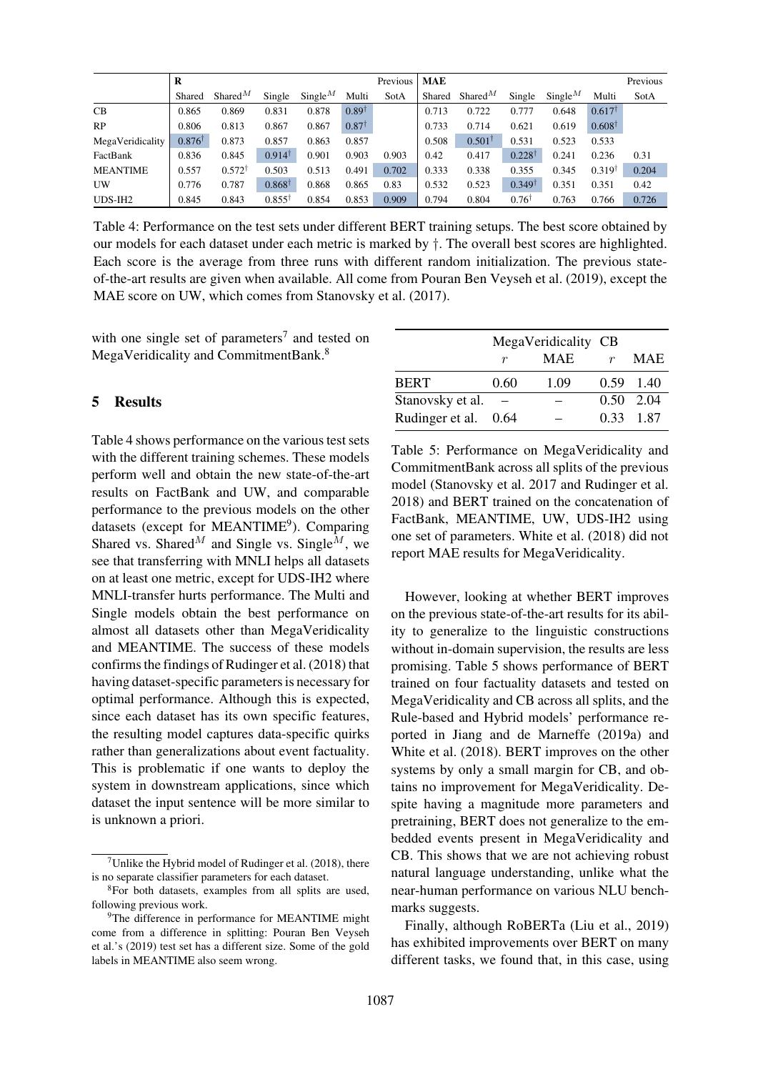|                     | R                 |                   |                   |             |                  | Previous | MAE    |                   |                   |                     |                   | Previous |
|---------------------|-------------------|-------------------|-------------------|-------------|------------------|----------|--------|-------------------|-------------------|---------------------|-------------------|----------|
|                     | Shared            | Shared $^M$       | Single            | Single $^M$ | Multi            | SotA     | Shared | Shared $^M$       | Single            | Single <sup>M</sup> | Multi             | SotA     |
| <b>CB</b>           | 0.865             | 0.869             | 0.831             | 0.878       | $0.89^{\dagger}$ |          | 0.713  | 0.722             | 0.777             | 0.648               | $0.617^{\dagger}$ |          |
| RP                  | 0.806             | 0.813             | 0.867             | 0.867       | $0.87^{\dagger}$ |          | 0.733  | 0.714             | 0.621             | 0.619               | $0.608^{\dagger}$ |          |
| MegaVeridicality    | $0.876^{\dagger}$ | 0.873             | 0.857             | 0.863       | 0.857            |          | 0.508  | $0.501^{\dagger}$ | 0.531             | 0.523               | 0.533             |          |
| FactBank            | 0.836             | 0.845             | $0.914^{\dagger}$ | 0.901       | 0.903            | 0.903    | 0.42   | 0.417             | $0.228^{\dagger}$ | 0.241               | 0.236             | 0.31     |
| <b>MEANTIME</b>     | 0.557             | $0.572^{\dagger}$ | 0.503             | 0.513       | 0.491            | 0.702    | 0.333  | 0.338             | 0.355             | 0.345               | $0.319^{\dagger}$ | 0.204    |
| UW                  | 0.776             | 0.787             | $0.868^{\dagger}$ | 0.868       | 0.865            | 0.83     | 0.532  | 0.523             | $0.349^{\dagger}$ | 0.351               | 0.351             | 0.42     |
| UDS-IH <sub>2</sub> | 0.845             | 0.843             | $0.855^{\dagger}$ | 0.854       | 0.853            | 0.909    | 0.794  | 0.804             | $0.76^{\dagger}$  | 0.763               | 0.766             | 0.726    |

Table 4: Performance on the test sets under different BERT training setups. The best score obtained by our models for each dataset under each metric is marked by †. The overall best scores are highlighted. Each score is the average from three runs with different random initialization. The previous stateof-the-art results are given when available. All come from Pouran Ben Veyseh et al. (2019), except the MAE score on UW, which comes from Stanovsky et al. (2017).

<span id="page-6-0"></span>with one single set of parameters<sup>7</sup> and tested on MegaVeridicality and CommitmentBank.<sup>8</sup>

## 5 Results

Table 4 shows performance on the various test sets with the different training schemes. These models perform well and obtain the new state-of-the-art results on FactBank and UW, and comparable [perform](#page-6-0)ance to the previous models on the other datasets (except for MEANTIME<sup>9</sup>). Comparing Shared vs. Shared<sup>M</sup> and Single vs. Single<sup>M</sup>, we see that transferring with MNLI helps all datasets on at least one metric, except for UDS-IH2 where MNLI-transfer hurts performance. [T](#page-6-1)he Multi and Single models obtain the best performance on almost all datasets other than MegaVeridicality and MEANTIME. The success of these models confirms the findings of Rudinger et al. (2018) that having dataset-specific parameters is necessary for optimal performance. Although this is expected, since each dataset has its own specific features, the resulting model ca[ptures](#page-15-2) [data-specific](#page-15-2) [q](#page-15-2)uirks rather than generalizations about event factuality. This is problematic if one wants to deploy the system in downstream applications, since which dataset the input sentence will be more similar to is unknown a priori.

|                      |      | MegaVeridicality CB |                  |                   |
|----------------------|------|---------------------|------------------|-------------------|
|                      | r    | MAE                 | $\boldsymbol{r}$ | <b>MAE</b>        |
| <b>BERT</b>          | 0.60 | 1.09                |                  | $0.59$ 1.40       |
| Stanovsky et al.     |      |                     |                  | $0.50 \quad 2.04$ |
| Rudinger et al. 0.64 |      |                     |                  | 0.33 1.87         |

Table 5: Performance on MegaVeridicality and [CommitmentBan](#page-15-3)k across all splits of the previous [model \(Stanovs](#page-15-2)ky et al. 2017 and Rudinger et al. 2018) and BERT trained on the concatenation of FactBank, MEANTIME, UW, UDS-IH2 using one set of parameters. White et al[. \(2018\) did not](#page-15-2) [repor](#page-15-2)t [MAE](#page-15-3) [results](#page-15-3) [for](#page-15-3) [MegaV](#page-15-3)eridicality.

<span id="page-6-2"></span>However, looking [at whether BERT im](#page-16-0)proves on the previous state-of-the-art results for its ability to generalize to the linguistic constructions without in-domain supervision, the results are less promising. Table 5 shows performance of BERT trained on four factuality datasets and tested on MegaVeridicality and CB across all splits, and the Rule-based and Hybrid models' performance reported in [Jiang](#page-6-2) [an](#page-6-2)d de Marneffe (2019a) and White et al. (2018). BERT improves on the other systems by only a small margin for CB, and obtains no improvement for MegaVeridicality. De[spite havin](#page-16-0)[g](#page-14-2)[a](#page-14-2)[magnitude](#page-14-2) [more](#page-14-2) [pa](#page-14-2)r[ameter](#page-14-2)s and pretraining, BERT does not generalize to the embedded events present in MegaVeridicality and CB. This shows that we are not achieving robust natural language understanding, unlike what the near-human performance on various NLU benchmarks suggests.

Finally, although RoBERTa (Liu et al., 2019) has exhibited improvements over BERT on many different tasks, we found that, in this case, using

<sup>&</sup>lt;sup>7</sup>Unlike the Hybrid model of Rudinger et al.  $(2018)$ , there is no separate classifier parameters for each dataset.

<sup>8</sup>For both datasets, examples from all splits are used, following previous work.

<span id="page-6-1"></span><sup>&</sup>lt;sup>9</sup>The difference in perform[ance for MEANTIME](#page-15-2) might come from a difference in splitting: Pouran Ben Veyseh et al.'s (2019) test set has a different size. Some of the gold labels in MEANTIME also seem wrong.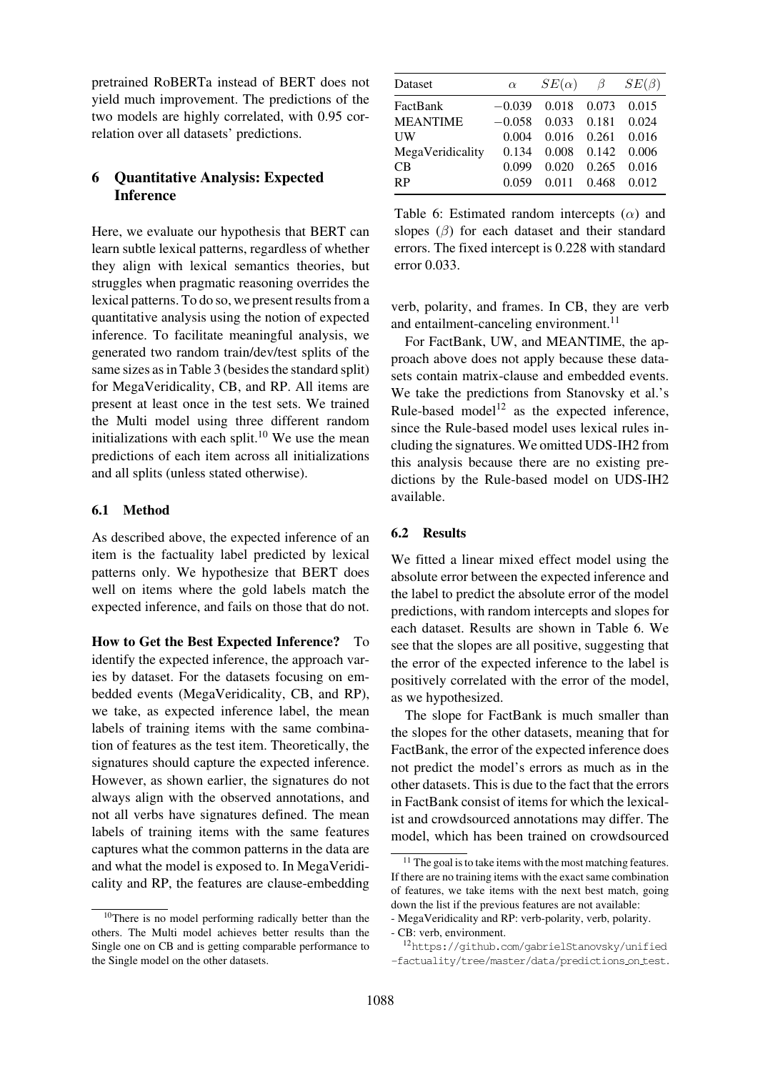pretrained RoBERTa instead of BERT does not yield much improvement. The predictions of the two models are highly correlated, with 0.95 correlation over all datasets' predictions.

# 6 Quantitative Analysis: Expected Inference

Here, we evaluate our hypothesis that BERT can learn subtle lexical patterns, regardless of whether they align with lexical semantics theories, but struggles when pragmatic reasoning overrides the lexical patterns. To do so, we present results from a quantitative analysis using the notion of expected inference. To facilitate meaningful analysis, we generated two random train/dev/test splits of the same sizes as in Table 3 (besides the standard split) for MegaVeridicality, CB, and RP. All items are present at least once in the test sets. We trained the Multi model using three different random initializations [with](#page-5-0) [each](#page-5-0) split. $10$  We use the mean predictions of each item across all initializations and all splits (unless stated otherwise).

### 6.1 Method

As described above, the expected inference of an item is the factuality label predicted by lexical patterns only. We hypothesize that BERT does well on items where the gold labels match the expected inference, and fails on those that do not.

How to Get the Best Expected Inference? To identify the expected inference, the approach varies by dataset. For the datasets focusing on embedded events (MegaVeridicality, CB, and RP), we take, as expected inference label, the mean labels of training items with the same combination of features as the test item. Theoretically, the signatures should capture the expected inference. However, as shown earlier, the signatures do not always align with the observed annotations, and not all verbs have signatures defined. The mean labels of training items with the same features captures what the common patterns in the data are and what the model is exposed to. In MegaVeridicality and RP, the features are clause-embedding

| Dataset          | $\alpha$ | $SE(\alpha)$ $\beta$ |       | $SE(\beta)$ |
|------------------|----------|----------------------|-------|-------------|
| FactBank         | $-0.039$ | 0.018                | 0.073 | 0.015       |
| <b>MEANTIME</b>  | $-0.058$ | 0.033                | 0.181 | 0.024       |
| <b>UW</b>        | 0.004    | 0.016                | 0.261 | 0.016       |
| MegaVeridicality | 0.134    | 0.008                | 0.142 | 0.006       |
| C <sub>B</sub>   | 0.099    | 0.020                | 0.265 | 0.016       |
| <b>RP</b>        | 0.059    | 0.011                | 0.468 | 0.012       |

Table 6: Estimated random intercepts  $(\alpha)$  and slopes  $(\beta)$  for each dataset and their standard errors. The fixed intercept is 0.228 with standard error 0.033.

<span id="page-7-2"></span>verb, polarity, and frames. In CB, they are verb and entailment-canceling environment.<sup>11</sup>

For FactBank, UW, and MEANTIME, the approach above does not apply because these datasets contain matrix-clause and embed[ded](#page-7-0) events. We take the predictions from Stanovsky et al.'s Rule-based model<sup>12</sup> as the expected inference, since the Rule-based model uses lexical rules including the signatures. We omitted UDS-IH2 from this analysis because there ar[e](#page-15-3) [no](#page-15-3) [existing](#page-15-3) [pre](#page-15-3)dictions by the R[ule](#page-7-1)-based model on UDS-IH2 available.

### 6.2 Results

We fitted a linear mixed effect model using the absolute error between the expected inference and the label to predict the absolute error of the model predictions, with random intercepts and slopes for each dataset. Results are shown in Table 6. We see that the slopes are all positive, suggesting that the error of the expected inference to the label is positively correlated with the error [of the](#page-7-2) [mo](#page-7-2)del, as we hypothesized.

The slope for FactBank is much smaller than the slopes for the other datasets, meaning that for FactBank, the error of the expected inference does not predict the model's errors as much as in the other datasets. This is due to the fact that the errors in FactBank consist of items for which the lexicalist and crowdsourced annotations may differ. The model, which has been trained on crowdsourced

<sup>&</sup>lt;sup>10</sup>There is no model performing radically better than the others. The Multi model achieves better results than the Single one on CB and is getting comparable performance to the Single model on the other datasets.

<sup>&</sup>lt;sup>11</sup> The goal is to take items with the most matching features. If there are no training items with the exact same combination of features, we take items with the next best match, going down the list if the previous features are not available:

<sup>-</sup> MegaVeridicality and RP: verb-polarity, verb, polarity.

<span id="page-7-0"></span><sup>-</sup> CB: verb, environment.

<span id="page-7-1"></span><sup>12</sup>https://github.com/gabrielStanovsky/unified -factuality/tree/master/data/predictions on test.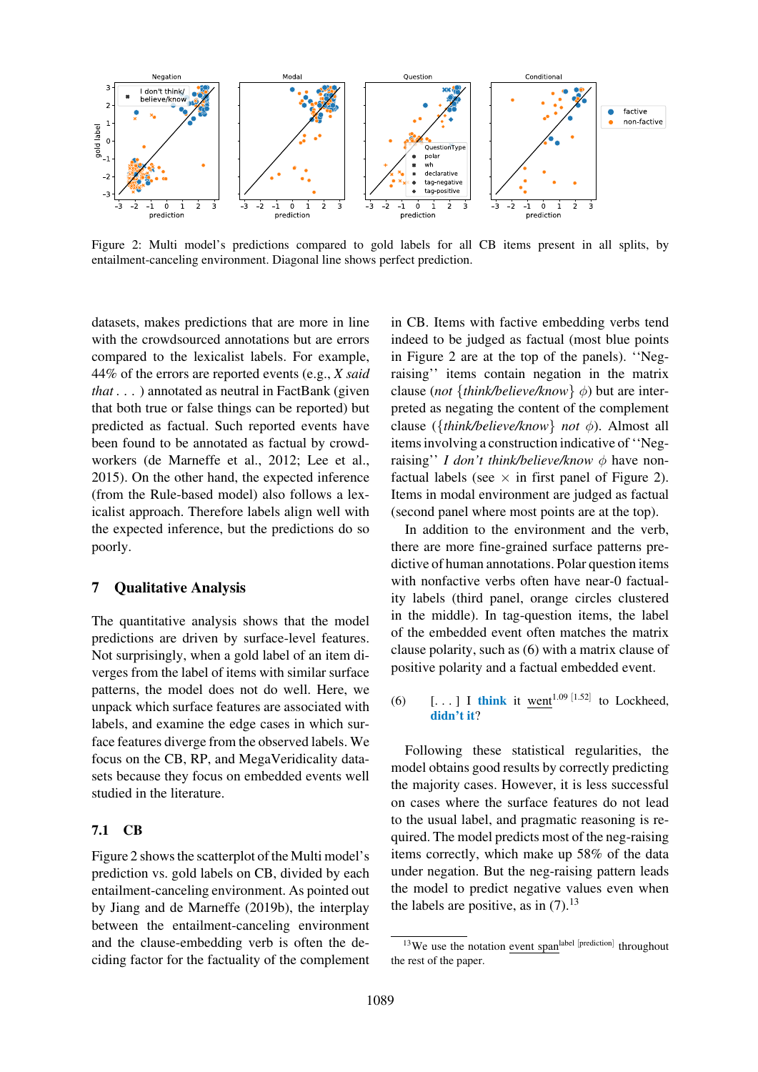

Figure 2: Multi model's predictions compared to gold labels for all CB items present in all splits, by entailment-canceling environment. Diagonal line shows perfect prediction.

<span id="page-8-0"></span>datasets, makes predictions that are more in line with the crowdsourced annotations but are errors compared to the lexicalist labels. For example, 44% of the errors are reported events (e.g., *X said that* . . . ) annotated as neutral in FactBank (given that both true or false things can be reported) but predicted as factual. Such reported events have been found to be annotated as factual by crowdworkers (de Marneffe et al., 2012; Lee et al., 2015). On the other hand, the expected inference (from the Rule-based model) also follows a lexicalist approach. Therefore labels align well with the expec[ted](#page-14-11) [inference,](#page-14-11) [but](#page-14-11) [th](#page-14-11)e [pred](#page-14-11)ic[tions](#page-14-1) [do](#page-14-1) [so](#page-14-1) [poorl](#page-14-1)y.

## 7 Qualitative Analysis

The quantitative analysis shows that the model predictions are driven by surface-level features. Not surprisingly, when a gold label of an item diverges from the label of items with similar surface patterns, the model does not do well. Here, we unpack which surface features are associated with labels, and examine the edge cases in which surface features diverge from the observed labels. We focus on the CB, RP, and MegaVeridicality datasets because they focus on embedded events well studied in the literature.

#### 7.1 CB

Figure 2 shows the scatterplot of the Multi model's prediction vs. gold labels on CB, divided by each entailment-canceling environment. As pointed out by Jiang and de Marneffe (2019b), the interplay [between](#page-8-0) the entailment-canceling environment and the clause-embedding verb is often the decid[ing factor for the factua](#page-14-4)l[ity of th](#page-14-4)e complement

in CB. Items with factive embedding verbs tend indeed to be judged as factual (most blue points in Figure 2 are at the top of the panels). ''Negraising'' items contain negation in the matrix clause (*not* {*think/believe/know*} φ) but are interpreted as negating the content of the complement cl[ause](#page-8-0) [\(](#page-8-0){*t[hi](#page-8-0)nk/believe/know*} *not* φ). Almost all items involving a construction indicative of ''Negraising'' *I don't think/believe/know*  $\phi$  have nonfactual labels (see  $\times$  in first panel of Figure 2). Items in modal environment are judged as factual (second panel where most points are at the top).

In addition to the environment and the verb, there are more fine-grained surface pa[tterns](#page-8-0) [pre](#page-8-0)dictive of human annotations. Polar question items with nonfactive verbs often have near-0 factuality labels (third panel, orange circles clustered in the middle). In tag-question items, the label of the embedded event often matches the matrix clause polarity, such as (6) with a matrix clause of positive polarity and a factual embedded event.

(6)  $\left[ \ldots \right]$  I think it [we](#page-8-1)nt<sup>1.09 [1.52]</sup> to Lockheed, didn't it?

<span id="page-8-1"></span>Following these statistical regularities, the model obtains good results by correctly predicting the majority cases. However, it is less successful on cases where the surface features do not lead to the usual label, and pragmatic reasoning is required. The model predicts most of the neg-raising items correctly, which make up 58% of the data under negation. But the neg-raising pattern leads the model to predict negative values even when the labels are positive, as in  $(7)$ .<sup>13</sup>

<sup>&</sup>lt;sup>13</sup>We use the notation event span<sup>label [prediction]</sup> throughout the rest of the paper.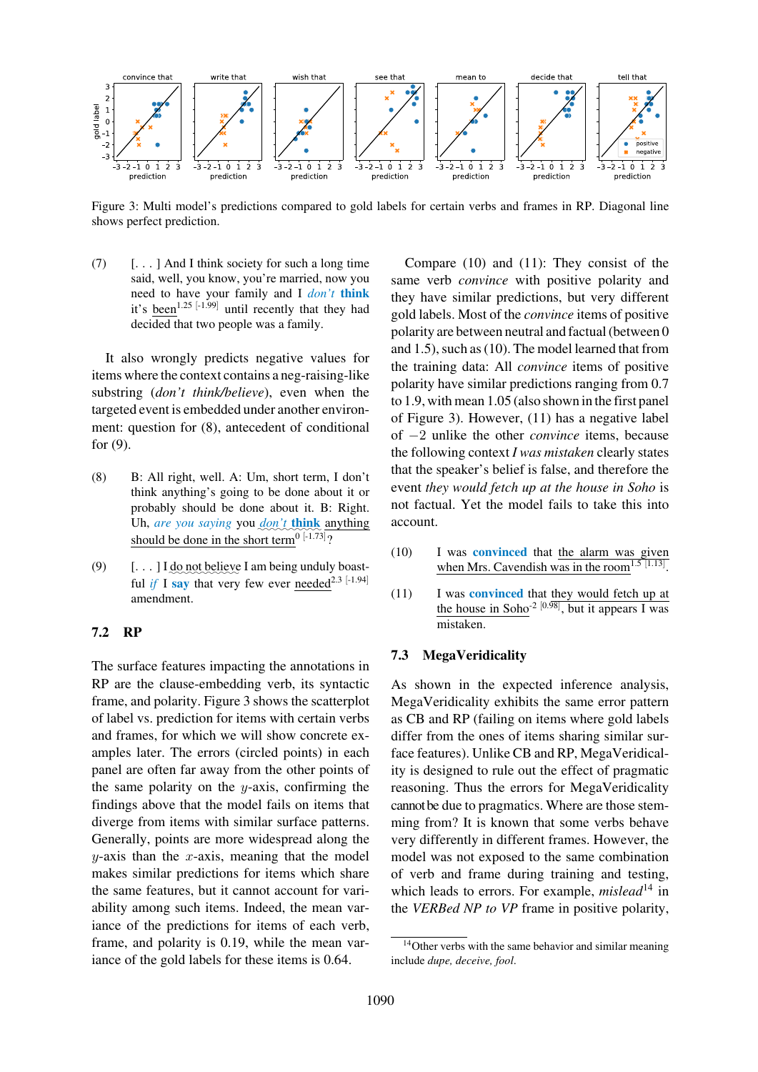

Figure 3: Multi model's predictions compared to gold labels for certain verbs and frames in RP. Diagonal line shows perfect prediction.

<span id="page-9-0"></span>(7) [. . . ] And I think society for such a long time said, well, you know, you're married, now you need to have your family and I *don't* think it's been<sup>1.25 [-1.99]</sup> until recently that they had decided that two people was a family.

It also wrongly predicts negative values for items where the context contains a neg-raising-like substring (*don't think/believe*), even when the targeted event is embedded under another environment: question for (8), antecedent of conditional for (9).

- (8) B: All right, well. A: Um, short term, I don't think anything's going to be done about it or probably should be done about it. B: Right. Uh, are you saying you <u>don't think</u> anything should be done in the short term<sup>0 [-1.73]</sup>?
- $(9)$  [...] I <u>do</u> not believe I am being unduly boastful *if* I say that very few ever needed<sup>2.3 [-1.94]</sup> amendment.

#### 7.2 RP

The surface features impacting the annotations in RP are the clause-embedding verb, its syntactic frame, and polarity. Figure 3 shows the scatterplot of label vs. prediction for items with certain verbs and frames, for which we will show concrete examples later. The errors (circled points) in each panel are often far [away from](#page-9-0) the other points of the same polarity on the  $y$ -axis, confirming the findings above that the model fails on items that diverge from items with similar surface patterns. Generally, points are more widespread along the  $y$ -axis than the  $x$ -axis, meaning that the model makes similar predictions for items which share the same features, but it cannot account for variability among such items. Indeed, the mean variance of the predictions for items of each verb, frame, and polarity is 0.19, while the mean variance of the gold labels for these items is 0.64.

Compare (10) and (11): They consist of the same verb *convince* with positive polarity and they have similar predictions, but very different gold labels. Most of the *convince* items of positive polarity are [betwe](#page-9-1)en n[eutral](#page-9-2) and factual (between 0 and 1.5), such as (10). The model learned that from the training data: All *convince* items of positive polarity have similar predictions ranging from 0.7 to 1.9, with mean 1.05 (also shown in the first panel of Figure 3). H[oweve](#page-9-1)r, (11) has a negative label of −2 unlike the other *convince* items, because the following context *I was mistaken* clearly states that the speaker's belief is false, and therefore the event *[they](#page-9-0) [w](#page-9-0)ould fetch [up](#page-9-2) [at](#page-9-2) the house in Soho* is not factual. Yet the model fails to take this into account.

- (10) I was convinced that the alarm was given when Mrs. Cavendish was in the room<sup>1.5 [1.13]</sup>.
- <span id="page-9-1"></span>(11) I was convinced that they would fetch up at the house in Soho<sup>-2 [0.98]</sup>, but it appears I was mistaken.

#### <span id="page-9-2"></span>7.3 MegaVeridicality

As shown in the expected inference analysis, MegaVeridicality exhibits the same error pattern as CB and RP (failing on items where gold labels differ from the ones of items sharing similar surface features). Unlike CB and RP, MegaVeridicality is designed to rule out the effect of pragmatic reasoning. Thus the errors for MegaVeridicality cannot be due to pragmatics. Where are those stemming from? It is known that some verbs behave very differently in different frames. However, the model was not exposed to the same combination of verb and frame during training and testing, which leads to errors. For example, *mislead*<sup>14</sup> in the *VERBed NP to VP* frame in positive polarity,

<span id="page-9-3"></span><sup>&</sup>lt;sup>14</sup>Other verbs with the same behavior and similar m[ean](#page-9-3)ing include *dupe, deceive, fool*.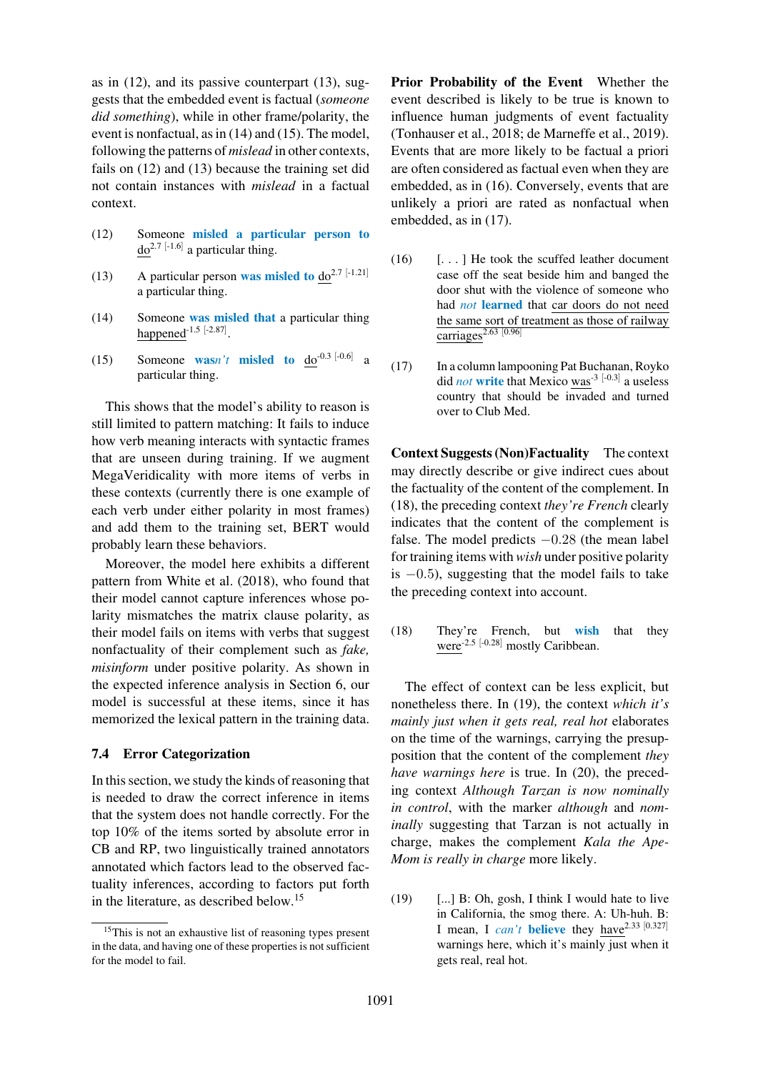as in (12), and its passive counterpart (13), suggests that the embedded event is factual (*someone did something*), while in other frame/polarity, the event is nonfactual, as in (14) and (15). The model, follo[wing](#page-10-0) [t](#page-10-0)he patterns of *mislead* in oth[er](#page-10-1) [con](#page-10-1)texts, fails on (12) and (13) because the training set did not contain instances [with](#page-10-2) *misl[ead](#page-10-3)* in a factual context.

- (12) [Some](#page-10-0)one [misl](#page-10-1)ed a particular person to  $do^{2.7}$  [-1.6] a particular thing.
- <span id="page-10-0"></span>(13) A particular person was misled to  $do^{2.7}$  [-1.21] a particular thing.
- <span id="page-10-1"></span>(14) Someone was misled that a particular thing happened<sup>-1.5 [-2.87]</sup>.
- <span id="page-10-2"></span>(15) Someone **was**n't **misled to**  $d\sigma^{0.3}$  [-0.6] a particular thing.

<span id="page-10-3"></span>This shows that the model's ability to reason is still limited to pattern matching: It fails to induce how verb meaning interacts with syntactic frames that are unseen during training. If we augment MegaVeridicality with more items of verbs in these contexts (currently there is one example of each verb under either polarity in most frames) and add them to the training set, BERT would probably learn these behaviors.

Moreover, the model here exhibits a different pattern from White et al. (2018), who found that their model cannot capture inferences whose polarity mismatches the matrix clause polarity, as their model f[ails on items with v](#page-16-0)erbs that suggest nonfactuality of their complement such as *fake, misinform* under positive polarity. As shown in the expected inference analysis in Section 6, our model is successful at these items, since it has memorized the lexical pattern in the training data.

#### 7.4 Error Categorization

In this section, we study the kinds of reasoning that is needed to draw the correct inference in items that the system does not handle correctly. For the top 10% of the items sorted by absolute error in CB and RP, two linguistically trained annotators annotated which factors lead to the observed factuality inferences, according to factors put forth in the literature, as described below.15

Prior Probability of the Event Whether the event described is likely to be true is known to influence human judgments of event factuality (Tonhauser et al., 2018; de Marneffe et al., 2019). Events that are more likely to be factual a priori are often considered as factual even when they are embedded, as in (16). Conversely, events that are [unlikely](#page-15-8) [a](#page-15-8) [priori](#page-15-8) [are](#page-15-8) [r](#page-15-8)[ated](#page-14-3) [as](#page-14-3) [nonfactual](#page-14-3) [whe](#page-14-3)n embedded, as in (17).

- <span id="page-10-4"></span> $(16)$  [...] H[e](#page-10-4) [took](#page-10-4) the scuffed leather document case off the seat beside him and banged the door shu[t](#page-10-5) [with](#page-10-5) the violence of someone who had *not* learned that car doors do not need the same sort of treatment as those of railway carriages $^{2.63}$  [0.96]
- (17) In a column lampooning Pat Buchanan, Royko did *not* write that Mexico was-3 [-0.3] a useless country that should be invaded and turned over to Club Med.

<span id="page-10-5"></span>Context Suggests (Non)Factuality The context may directly describe or give indirect cues about the factuality of the content of the complement. In (18), the preceding context *they're French* clearly indicates that the content of the complement is false. The model predicts  $-0.28$  (the mean label for training items with *wish* under positive polarity is  $-0.5$ ), suggesting that the model fails to take the preceding context into account.

(18) They're French, but wish that they were<sup>-2.5 [-0.28]</sup> mostly Caribbean.

<span id="page-10-6"></span>The effect of context can be less explicit, but nonetheless there. In (19), the context *which it's mainly just when it gets real, real hot* elaborates on the time of the warnings, carrying the presupposition that the content of the complement *they have warnings here* [is](#page-10-7) [tru](#page-10-7)e. In (20), the preceding context *Although Tarzan is now nominally in control*, with the marker *although* and *nominally* suggesting that Tarzan is not actually in charge, makes the complement *[Ka](#page-11-0)la the Ape-Mom is really in charge* more likely.

<span id="page-10-7"></span> $(19)$  [...] B: Oh, gosh, I think I would hate to live in California, the smog there. A: Uh-huh. B: I mean, I *can't* believe they have<sup>2.33 [0.327]</sup> warnings here, which it's mainly just when it gets real, real hot.

<sup>&</sup>lt;sup>15</sup>This is not an exhaustive list of reasoning types present in the data, and having one of these properties is not sufficient for the model to fail.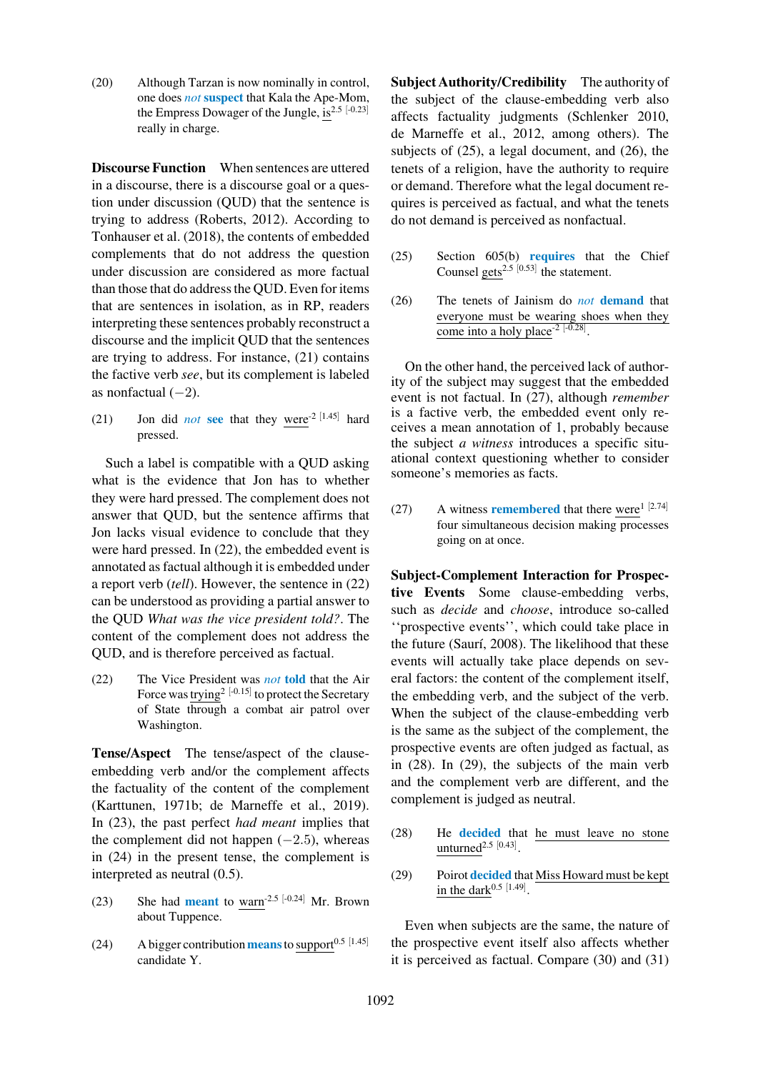(20) Although Tarzan is now nominally in control, one does *not* suspect that Kala the Ape-Mom, the Empress Dowager of the Jungle, is $2.5$  [-0.23] really in charge.

<span id="page-11-0"></span>Discourse Function When sentences are uttered in a discourse, there is a discourse goal or a question under discussion (QUD) that the sentence is trying to address (Roberts, 2012). According to Tonhauser et al. (2018), the contents of embedded complements that do not address the question under discussion are considered as more factual than those that do a[ddress](#page-15-9) [the](#page-15-9) [QUD](#page-15-9). Even for items [that](#page-15-8) [are](#page-15-8) [sentences](#page-15-8) [in](#page-15-8) [i](#page-15-8)solation, as in RP, readers interpreting these sentences probably reconstruct a discourse and the implicit QUD that the sentences are trying to address. For instance, (21) contains the factive verb *see*, but its complement is labeled as nonfactual  $(-2)$ .

(21) Jon did *not* see that they were<sup>-2 [1.45]</sup> hard pressed.

<span id="page-11-1"></span>Such a label is compatible with a QUD asking what is the evidence that Jon has to whether they were hard pressed. The complement does not answer that QUD, but the sentence affirms that Jon lacks visual evidence to conclude that they were hard pressed. In (22), the embedded event is annotated as factual although it is embedded under a report verb (*tell*). However, the sentence in (22) can be understood as providing a partial answer to the QUD *What was t[he](#page-11-2) [vic](#page-11-2)e president told?*. The content of the complement does not addres[s the](#page-11-2) QUD, and is therefore perceived as factual.

<span id="page-11-2"></span>(22) The Vice President was *not* told that the Air Force was trying<sup>2 [-0.15]</sup> to protect the Secretary of State through a combat air patrol over Washington.

Tense/Aspect The tense/aspect of the clauseembedding verb and/or the complement affects the factuality of the content of the complement (Karttunen, 1971b; de Marneffe et al., 2019). In (23), the past perfect *had meant* implies that the complement did not happen  $(-2.5)$ , whereas in (24) in the prese[nt tense, the complement i](#page-14-3)s [interpreted](#page-14-10) [as](#page-14-10) [neutr](#page-14-10)al (0.5).

- (23) She had **meant** to warn<sup>-2.5 [-0.24] Mr. Brown</sup> about Tuppence.
- <span id="page-11-3"></span>(24) A bigger contribution means to support<sup>0.5 [1.45]</sup> candidate Y.

Subject Authority/Credibility The authority of the subject of the clause-embedding verb also affects factuality judgments (Schlenker 2010, de Marneffe et al., 2012, among others). The subjects of (25), a legal document, and (26), the tenets of a religion, have the authority to require or demand. Therefore what the l[egal](#page-15-10) [document](#page-15-10) [re](#page-15-10)[quires](#page-14-11) [is](#page-14-11) [perceived](#page-14-11) [as](#page-14-11) [factu](#page-14-11)al, and what the tenets do not demand is perceived as nonfactual.

- (25) Section 605(b) requires that the Chief Counsel gets<sup>2.5 [0.53]</sup> the statement.
- (26) The tenets of Jainism do *not* demand that everyone must be wearing shoes when they come into a holy place<sup>-2 [-0.28]</sup>.

On the other hand, the perceived lack of authority of the subject may suggest that the embedded event is not factual. In (27), although *remember* is a factive verb, the embedded event only receives a mean annotation of 1, probably because the subject *a witness* introduces a specific situational context questio[ning](#page-11-4) whether to consider someone's memories as facts.

<span id="page-11-4"></span>(27) A witness remembered that there were<sup>1 [2.74]</sup> four simultaneous decision making processes going on at once.

Subject-Complement Interaction for Prospective Events Some clause-embedding verbs, such as *decide* and *choose*, introduce so-called ''prospective events'', which could take place in the future (Saurí, 2008). The likelihood that these events will actually take place depends on several factors: the content of the complement itself, the embedding verb, and the subject of the verb. When the [subject](#page-15-11) [of](#page-15-11) [t](#page-15-11)he clause-embedding verb is the same as the subject of the complement, the prospective events are often judged as factual, as in (28). In (29), the subjects of the main verb and the complement verb are different, and the complement is judged as neutral.

- (2[8\)](#page-11-5) He [decid](#page-11-6)ed that he must leave no stone unturned $^{2.5}$  [0.43].
- <span id="page-11-5"></span>(29) Poirot decided that Miss Howard must be kept in the dark<sup>0.5 [1.49]</sup>.

<span id="page-11-6"></span>Even when subjects are the same, the nature of the prospective event itself also affects whether it is perceived as factual. Compare (30) and (31)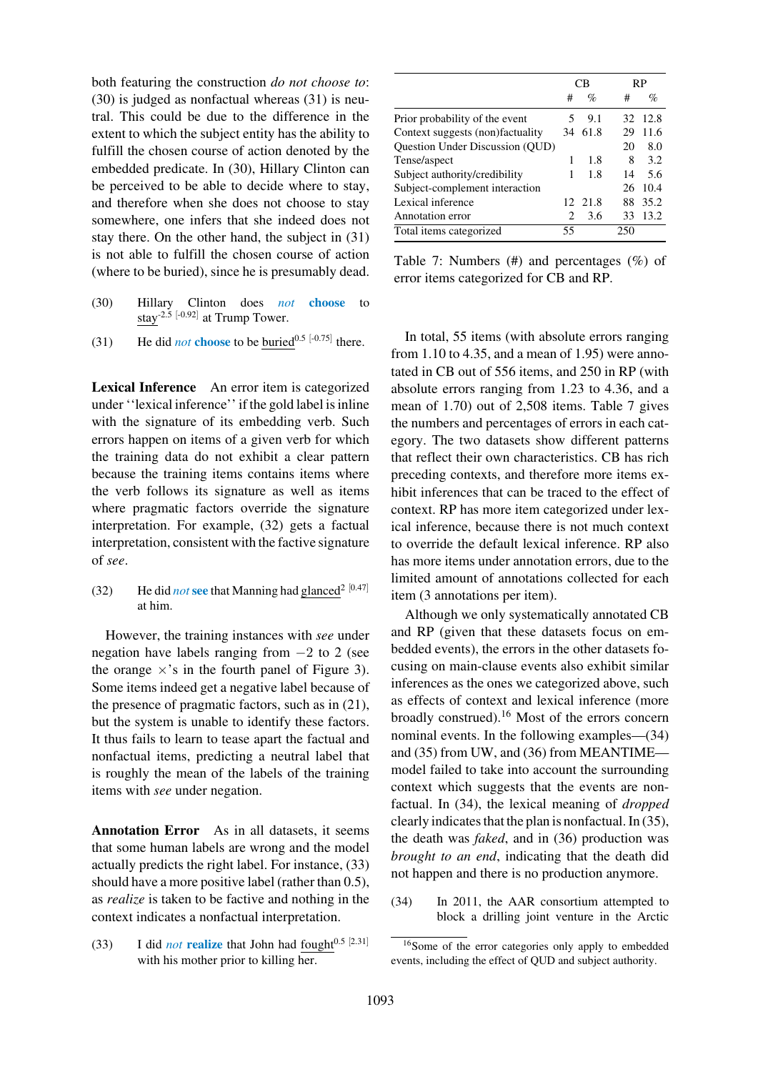both featuring the construction *do not choose to*: (30) is judged as nonfactual whereas (31) is neutral. This could be due to the difference in the extent to which the subject entity has the ability to fulfill the chosen course of action denoted by the [embe](#page-12-0)dded predicate. In (30), Hillary [Clint](#page-12-1)on can be perceived to be able to decide where to stay, and therefore when she does not choose to stay somewhere, one infers that she indeed does not stay there. On the other [hand](#page-12-0), the subject in (31) is not able to fulfill the chosen course of action (where to be buried), since he is presumably dead.

- (30) Hillary Clinton does *not* choose [to](#page-12-1) stay-2.5 [-0.92] at Trump Tower.
- <span id="page-12-0"></span>(31) He did *not* choose to be buried<sup>0.5 [-0.75]</sup> there.

<span id="page-12-1"></span>Lexical Inference An error item is categorized under ''lexical inference'' if the gold label is inline with the signature of its embedding verb. Such errors happen on items of a given verb for which the training data do not exhibit a clear pattern because the training items contains items where the verb follows its signature as well as items where pragmatic factors override the signature interpretation. For example, (32) gets a factual interpretation, consistent with the factive signature of *see*.

(32) He did *not* see that Manning had glanced<sup>2 [0.47]</sup> at him.

However, the training instances with *see* under negation have labels ranging from −2 to 2 (see the orange  $\times$ 's in the fourth panel of Figure 3). Some items indeed get a negative label because of the presence of pragmatic factors, such as in (21), but the system is unable to identify these factors. It thus fails to learn to tease apart the f[actual](#page-9-0) [and](#page-9-0) nonfactual items, predicting a neutral label that is roughly the mean of the labels of the tra[ining](#page-11-1) items with *see* under negation.

Annotation Error As in all datasets, it seems that some human labels are wrong and the model actually predicts the right label. For instance, (33) should have a more positive label (rather than 0.5), as *realize* is taken to be factive and nothing in the context indicates a nonfactual interpretation.

(33) I did *not* realize that John had fought<sup>0.5 [2.31]</sup> with his mother prior to killing her.

|                             |      | RP                       |       |  |
|-----------------------------|------|--------------------------|-------|--|
| #                           | $\%$ | #                        | $\%$  |  |
| 5                           | 9.1  | 32                       | -12.8 |  |
|                             |      | 29                       | 11.6  |  |
|                             |      | 20                       | 8.0   |  |
| 1                           | 1.8  | 8                        | 3.2   |  |
| 1                           | 1.8  | 14                       | 5.6   |  |
|                             |      | 26                       | 10.4  |  |
|                             |      | 88                       | 35.2  |  |
| $\mathcal{D}_{\mathcal{L}}$ | 3.6  | 33                       | 13.2  |  |
| 55                          |      | 250                      |       |  |
|                             |      | СB<br>34 61.8<br>12 21.8 |       |  |

Table 7: Numbers (#) and percentages (%) of error items categorized for CB and RP.

<span id="page-12-2"></span>In total, 55 items (with absolute errors ranging from 1.10 to 4.35, and a mean of 1.95) were annotated in CB out of 556 items, and 250 in RP (with absolute errors ranging from 1.23 to 4.36, and a mean of 1.70) out of 2,508 items. Table 7 gives the numbers and percentages of errors in each category. The two datasets show different patterns that reflect their own characteristics. CB has rich preceding contexts, and therefore [more](#page-12-2) [item](#page-12-2)s exhibit inferences that can be traced to the effect of context. RP has more item categorized under lexical inference, because there is not much context to override the default lexical inference. RP also has more items under annotation errors, due to the limited amount of annotations collected for each item (3 annotations per item).

Although we only systematically annotated CB and RP (given that these datasets focus on embedded events), the errors in the other datasets focusing on main-clause events also exhibit similar inferences as the ones we categorized above, such as effects of context and lexical inference (more broadly construed).<sup>16</sup> Most of the errors concern nominal events. In the following examples—(34) and (35) from UW, and (36) from MEANTIME model failed to tak[e in](#page-12-3)to account the surrounding context which suggests that the events are nonfactual. In (34), the lexical meaning of *dro[pped](#page-12-4)* cle[arly](#page-13-2) [in](#page-13-2)dicates that th[e](#page-13-3) [plan](#page-13-3) is nonfactual. In (35), the death was *faked*, and in (36) production was *brought to an end*, indicating that the death did not happen [and](#page-12-4) there is no production anym[ore.](#page-13-2)

(34) In 2011, the AAR c[onsort](#page-13-3)ium attempted to block a drilling joint venture in the Arctic

<span id="page-12-4"></span><span id="page-12-3"></span><sup>16</sup>Some of the error categories only apply to embedded events, including the effect of QUD and subject authority.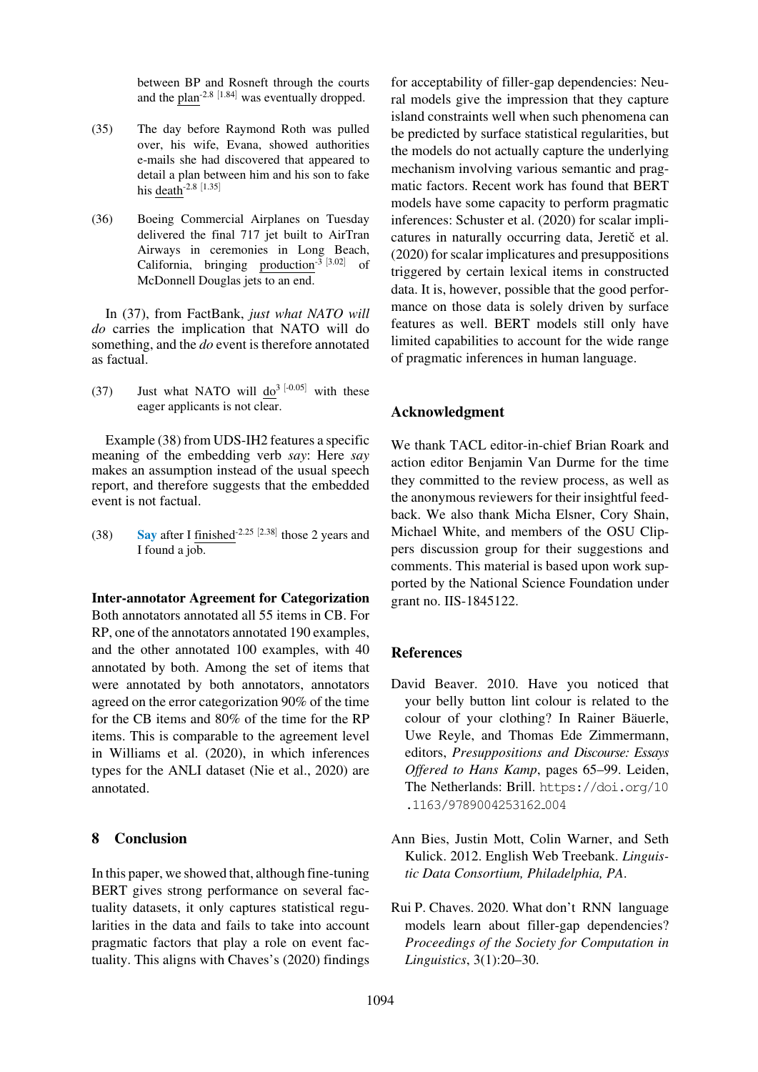between BP and Rosneft through the courts and the plan-2.8 [1.84] was eventually dropped.

- (35) The day before Raymond Roth was pulled over, his wife, Evana, showed authorities e-mails she had discovered that appeared to detail a plan between him and his son to fake his death-2.8 [1.35]
- <span id="page-13-2"></span>(36) Boeing Commercial Airplanes on Tuesday delivered the final 717 jet built to AirTran Airways in ceremonies in Long Beach, California, bringing production<sup>-3 [3.02]</sup> of McDonnell Douglas jets to an end.

<span id="page-13-3"></span>In (37), from FactBank, *just what NATO will do* carries the implication that NATO will do something, and the *do* event is therefore annotated as factual.

(37) Just what NATO will  $d\sigma^{3}$  [-0.05] with these eager applicants is not clear.

Example (38) from UDS-IH2 features a specific meaning of the embedding verb *say*: Here *say* makes an assumption instead of the usual speech report, and therefore suggests that the embedded event is not [factu](#page-13-4)al.

<span id="page-13-4"></span>(38) Say after I finished<sup>-2.25 [2.38]</sup> those 2 years and I found a job.

Inter-annotator Agreement for Categorization Both annotators annotated all 55 items in CB. For RP, one of the annotators annotated 190 examples, and the other annotated 100 examples, with 40 annotated by both. Among the set of items that were annotated by both annotators, annotators agreed on the error categorization 90% of the time for the CB items and 80% of the time for the RP items. This is comparable to the agreement level in Williams et al. (2020), in which inferences types for the ANLI dataset (Nie et al., 2020) are annotated.

#### 8 Conclusion

In this paper, we showed that, although fine-tuning BERT gives strong performance on several factuality datasets, it only captures statistical regularities in the data and fails to take into account pragmatic factors that play a role on event factuality. This aligns with Chaves's (2020) findings

for acceptability of filler-gap dependencies: Neural models give the impression that they capture island constraints well when such phenomena can be predicted by surface statistical regularities, but the models do not actually capture the underlying mechanism involving various semantic and pragmatic factors. Recent work has found that BERT models have some capacity to perform pragmatic inferences: Schuster et al. (2020) for scalar implicatures in naturally occurring data, Jeretič et al. (2020) for scalar implicatures and presuppositions triggered by certain lexical items in constructed data. It is, [however,](#page-15-12) [possible](#page-15-12) [tha](#page-15-12)t the good performance on those data is solely driv[en](#page-14-13) [by](#page-14-13) [surface](#page-14-13) [feature](#page-14-13)s as well. BERT models still only have limited capabilities to account for the wide range of pragmatic inferences in human language.

#### Acknowledgment

We thank TACL editor-in-chief Brian Roark and action editor Benjamin Van Durme for the time they committed to the review process, as well as the anonymous reviewers for their insightful feedback. We also thank Micha Elsner, Cory Shain, Michael White, and members of the OSU Clippers discussion group for their suggestions and comments. This material is based upon work supported by the National Science Foundation under grant no. IIS-1845122.

#### References

- <span id="page-13-0"></span>David Beaver. 2010. Have you noticed that your belly button lint colour is related to the colour of your clothing? In Rainer Bäuerle, Uwe Reyle, and Thomas Ede Zimmermann, editors, *Presuppositions and Discourse: Essays Offered to Hans Kamp*, pages 65–99. Leiden, The Netherlands: Brill. https://doi.org/10 .1163/9789004253162<sub>-</sub>004
- Ann Bies, Justin Mott, Colin Warner, and Seth Kulick. 2012. English [Web](https://doi.org/10.1163/9789004253162_004) [Treebank.](https://doi.org/10.1163/9789004253162_004) *Linguis[tic](https://doi.org/10.1163/9789004253162_004) [Data](https://doi.org/10.1163/9789004253162_004) [Consortium,](https://doi.org/10.1163/9789004253162_004) [Philade](https://doi.org/10.1163/9789004253162_004)lphia, PA*.
- <span id="page-13-1"></span>Rui P. Chaves. 2020. What don't RNN language models learn about filler-gap dependencies? *Proceedings of the Society for Computation in Linguistics*, 3(1):20–30.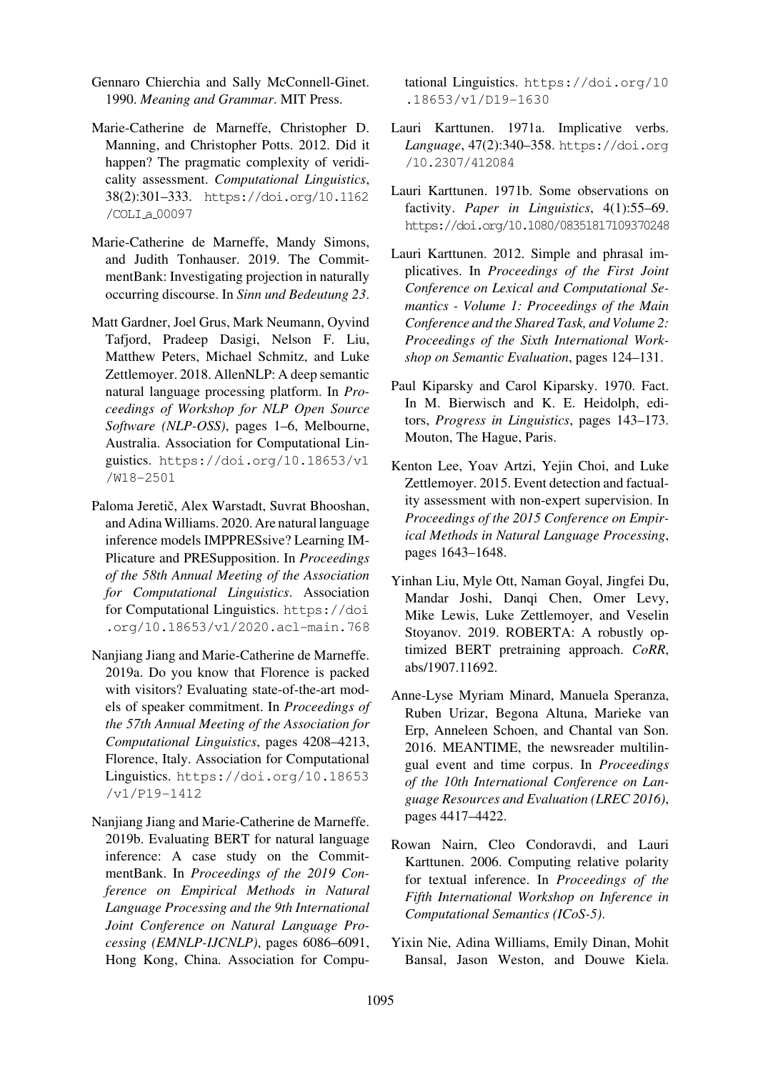- Gennaro Chierchia and Sally McConnell-Ginet. 1990. *Meaning and Grammar*. MIT Press.
- <span id="page-14-9"></span>Marie-Catherine de Marneffe, Christopher D. Manning, and Christopher Potts. 2012. Did it happen? The pragmatic complexity of veridicality assessment. *Computational Linguistics*, 38(2):301–333. https://doi.org/10.1162 /COLI a 00097
- <span id="page-14-11"></span>Marie-Catherine de Marneffe, Mandy Simons, and Judith Ton[hauser. 2019. The Commit](https://doi.org/10.1162/COLI_a_00097)[mentBank: Inve](https://doi.org/10.1162/COLI_a_00097)stigating projection in naturally occurring discourse. In *Sinn und Bedeutung 23*.
- <span id="page-14-12"></span><span id="page-14-3"></span>Matt Gardner, Joel Grus, Mark Neumann, Oyvind Tafjord, Pradeep Dasigi, Nelson F. Liu, Matthew Peters, Michael Schmitz, and Luke Zettlemoyer. 2018. AllenNLP: A deep semantic natural language processing platform. In *Proceedings of Workshop for NLP Open Source Software (NLP-OSS)*, pages 1–6, Melbourne, Australia. Association for Computational Linguistics. https://doi.org/10.18653/v1 /W18-2501
- <span id="page-14-13"></span>Paloma Jeretič, Alex Warstadt, Suvrat Bhooshan, and Adin[a Williams. 2020. Are natural language](https://doi.org/10.18653/v1/W18-2501) [inference mo](https://doi.org/10.18653/v1/W18-2501)dels IMPPRESsive? Learning IM-Plicature and PRESupposition. In *Proceedings of the 58th Annual Meeting of the Association for Computational Linguistics*. Association for Computational Linguistics. https://doi .org/10.18653/v1/2020.acl-main.768
- <span id="page-14-2"></span>Nanjiang Jiang and Marie-Catherine de Marneffe. 2019a. Do you know that Flo[rence is packed](https://doi.org/10.18653/v1/2020.acl-main.768) [with visitors? Evaluating state-of-the-art mod](https://doi.org/10.18653/v1/2020.acl-main.768)els of speaker commitment. In *Proceedings of the 57th Annual Meeting of the Association for Computational Linguistics*, pages 4208–4213, Florence, Italy. Association for Computational Linguistics. https://doi.org/10.18653 /v1/P19-1412
- <span id="page-14-4"></span>Nanjiang Jiang and Marie-Catherine de Marneffe. 2019b. Eval[uating BERT for natural language](https://doi.org/10.18653/v1/P19-1412) [inference: A ca](https://doi.org/10.18653/v1/P19-1412)se study on the CommitmentBank. In *Proceedings of the 2019 Conference on Empirical Methods in Natural Language Processing and the 9th International Joint Conference on Natural Language Processing (EMNLP-IJCNLP)*, pages 6086–6091, Hong Kong, China. Association for Compu-

tational Linguistics. https://doi.org/10 .18653/v1/D19-1630

- Lauri Karttunen. 1971a. Implicative verbs. *Language*, 47(2):340–358. [https://doi.org](https://doi.org/10.18653/v1/D19-1630) [/10.2307/412084](https://doi.org/10.18653/v1/D19-1630)
- <span id="page-14-6"></span>Lauri Karttunen. 1971b. Some observations on factivity. *Paper in Linguistics*[, 4\(1\):55–69.](https://doi.org/10.2307/412084) [https://doi.org/10](https://doi.org/10.2307/412084).1080/08351817109370248
- <span id="page-14-10"></span><span id="page-14-8"></span>Lauri Karttunen. 2012. Simple and phrasal implicatives. In *Proceedings of the First Joint [Conference on Lexical and Computational Se](https://doi.org/10.1080/08351817109370248)mantics - Volume 1: Proceedings of the Main Conference and the Shared Task, and Volume 2: Proceedings of the Sixth International Workshop on Semantic Evaluation*, pages 124–131.
- Paul Kiparsky and Carol Kiparsky. 1970. Fact. In M. Bierwisch and K. E. Heidolph, editors, *Progress in Linguistics*, pages 143–173. Mouton, The Hague, Paris.
- <span id="page-14-5"></span>Kenton Lee, Yoav Artzi, Yejin Choi, and Luke Zettlemoyer. 2015. Event detection and factuality assessment with non-expert supervision. In *Proceedings of the 2015 Conference on Empirical Methods in Natural Language Processing*, pages 1643–1648.
- <span id="page-14-1"></span>Yinhan Liu, Myle Ott, Naman Goyal, Jingfei Du, Mandar Joshi, Danqi Chen, Omer Levy, Mike Lewis, Luke Zettlemoyer, and Veselin Stoyanov. 2019. ROBERTA: A robustly optimized BERT pretraining approach. *CoRR*, abs/1907.11692.
- <span id="page-14-0"></span>Anne-Lyse Myriam Minard, Manuela Speranza, Ruben Urizar, Begona Altuna, Marieke van Erp, Anneleen Schoen, and Chantal van Son. 2016. MEANTIME, the newsreader multilingual event and time corpus. In *Proceedings of the 10th International Conference on Language Resources and Evaluation (LREC 2016)*, pages 4417–4422.
- Rowan Nairn, Cleo Condoravdi, and Lauri Karttunen. 2006. Computing relative polarity for textual inference. In *Proceedings of the Fifth International Workshop on Inference in Computational Semantics (ICoS-5)*.
- <span id="page-14-7"></span>Yixin Nie, Adina Williams, Emily Dinan, Mohit Bansal, Jason Weston, and Douwe Kiela.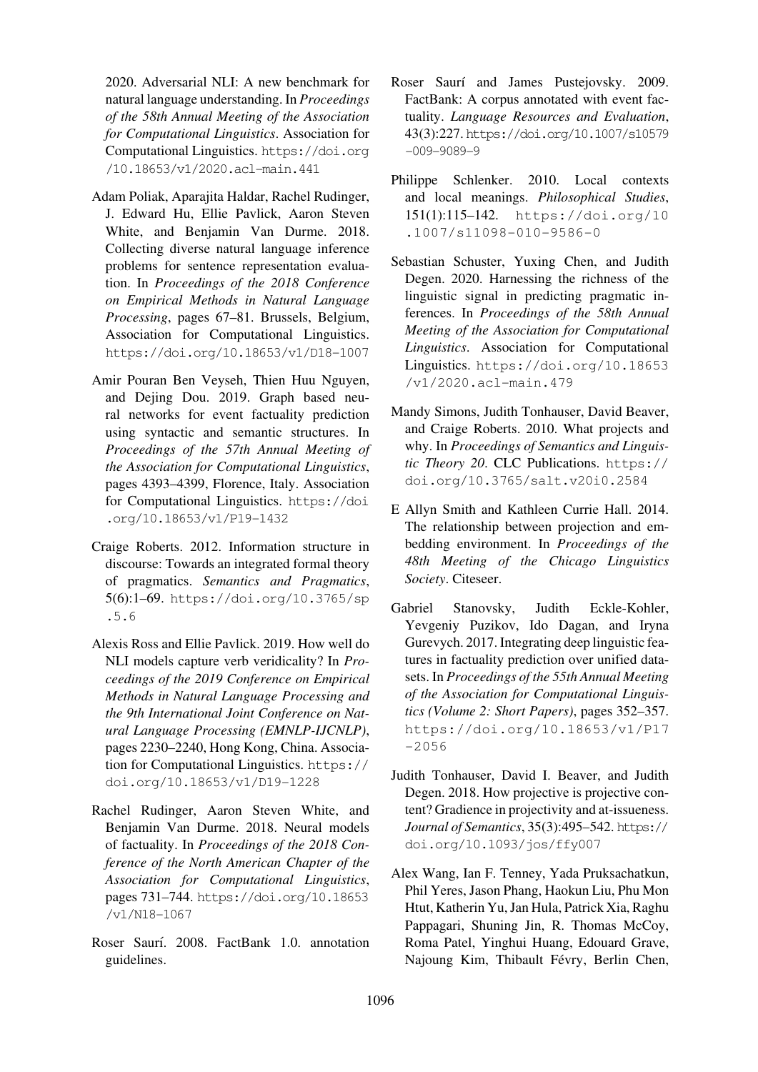2020. Adversarial NLI: A new benchmark for natural language understanding. In *Proceedings of the 58th Annual Meeting of the Association for Computational Linguistics*. Association for Computational Linguistics. https://doi.org /10.18653/v1/2020.acl-main.441

- <span id="page-15-4"></span>Adam Poliak, Aparajita Haldar, Rachel Rudinger, J. Edward Hu, Ellie Pav[lick, Aaron Steven](https://doi.org/10.18653/v1/2020.acl-main.441) [White, and Benjamin Van Durme](https://doi.org/10.18653/v1/2020.acl-main.441). 2018. Collecting diverse natural language inference problems for sentence representation evaluation. In *Proceedings of the 2018 Conference on Empirical Methods in Natural Language Processing*, pages 67–81. Brussels, Belgium, Association for Computational Linguistics. https://doi.org/10.18653/v1/D18-1007
- <span id="page-15-1"></span>Amir Pouran Ben Veyseh, Thien Huu Nguyen, and Dejing Dou. 2019. Graph based neu[ral networks for event factuality prediction](https://doi.org/10.18653/v1/D18-1007) using syntactic and semantic structures. In *Proceedings of the 57th Annual Meeting of the Association for Computational Linguistics*, pages 4393–4399, Florence, Italy. Association for Computational Linguistics. https://doi .org/10.18653/v1/P19-1432
- Craige Roberts. 2012. Information structure in discourse: Towards an integrate[d formal theory](https://doi.org/10.18653/v1/P19-1432) [of pragmatics.](https://doi.org/10.18653/v1/P19-1432) *Semantics and Pragmatics*, 5(6):1–69. https://doi.org/10.3765/sp .5.6
- <span id="page-15-9"></span><span id="page-15-5"></span>Alexis Ross and Ellie Pavlick. 2019. How well do NLI model[s capture verb veridicality? In](https://doi.org/10.3765/sp.5.6) *Pro[ceedin](https://doi.org/10.3765/sp.5.6)gs of the 2019 Conference on Empirical Methods in Natural Language Processing and the 9th International Joint Conference on Natural Language Processing (EMNLP-IJCNLP)*, pages 2230–2240, Hong Kong, China. Association for Computational Linguistics. https:// doi.org/10.18653/v1/D19-1228
- <span id="page-15-2"></span>Rachel Rudinger, Aaron Steven White, and Benjamin Van Durme. 2018. Ne[ural models](https://doi.org/10.18653/v1/D19-1228) of factuality. In *[Proceedings of the 20](https://doi.org/10.18653/v1/D19-1228)18 Conference of the North American Chapter of the Association for Computational Linguistics*, pages 731–744. https://doi.org/10.18653 /v1/N18-1067
- <span id="page-15-11"></span>Roser Saurí. 2008. FactBank 1.0. annotation guidelines.
- Roser Saurí and James Pustejovsky. 2009. FactBank: A corpus annotated with event factuality. *Language Resources and Evaluation*, 43(3):227.https://doi.org/10.1007/s10579 -009-9089-9
- <span id="page-15-0"></span>Philippe Schlenker. 2010. Local contexts and local meanings. *[Philosophical Studies](https://doi.org/10.1007/s10579-009-9089-9)*, [151\(1\):115–14](https://doi.org/10.1007/s10579-009-9089-9)2. https://doi.org/10 .1007/s11098-010-9586-0
- <span id="page-15-12"></span><span id="page-15-10"></span>Sebastian Schuster, Yuxing Chen, and Judith Degen. 2020. Har[nessing the richness of the](https://doi.org/10.1007/s11098-010-9586-0) [linguistic signal in predicting pra](https://doi.org/10.1007/s11098-010-9586-0)gmatic inferences. In *Proceedings of the 58th Annual Meeting of the Association for Computational Linguistics*. Association for Computational Linguistics. https://doi.org/10.18653 /v1/2020.acl-main.479
- Mandy Simons, Judith Tonhauser, David Beaver, and Craige [Roberts. 2010. What projects and](https://doi.org/10.18653/v1/2020.acl-main.479) why. In *[Proceedings of Seman](https://doi.org/10.18653/v1/2020.acl-main.479)tics and Linguistic Theory 20*. CLC Publications. https:// doi.org/10.3765/salt.v20i0.2584
- <span id="page-15-7"></span>E Allyn Smith and Kathleen Currie Hall. 2014. The relationship between projecti[on and em](https://doi.org/10.3765/salt.v20i0.2584)[bedding environment. In](https://doi.org/10.3765/salt.v20i0.2584) *Proceedings of the 48th Meeting of the Chicago Linguistics Society*. Citeseer.
- <span id="page-15-6"></span><span id="page-15-3"></span>Gabriel Stanovsky, Judith Eckle-Kohler, Yevgeniy Puzikov, Ido Dagan, and Iryna Gurevych. 2017. Integrating deep linguistic features in factuality prediction over unified datasets. In *Proceedings of the 55th Annual Meeting of the Association for Computational Linguistics (Volume 2: Short Papers)*, pages 352–357. https://doi.org/10.18653/v1/P17  $-2056$
- Judith Tonhauser, David I. Beaver, and Judith [Degen. 2018. How projective is projective con](https://doi.org/10.18653/v1/P17-2056)[tent? Gr](https://doi.org/10.18653/v1/P17-2056)adience in projectivity and at-issueness. *Journal of Semantics*, 35(3):495–542. https:// doi.org/10.1093/jos/ffy007
- <span id="page-15-8"></span>Alex Wang, Ian F. Tenney, Yada Pruksachatkun, Phil Yeres, Jason Phang, Haokun Liu, [Phu Mon](https://doi.org/10.1093/jos/ffy007) [Htut, Katherin Yu, Jan Hula, Patrick](https://doi.org/10.1093/jos/ffy007) Xia, Raghu Pappagari, Shuning Jin, R. Thomas McCoy, Roma Patel, Yinghui Huang, Edouard Grave, Najoung Kim, Thibault Févry, Berlin Chen,